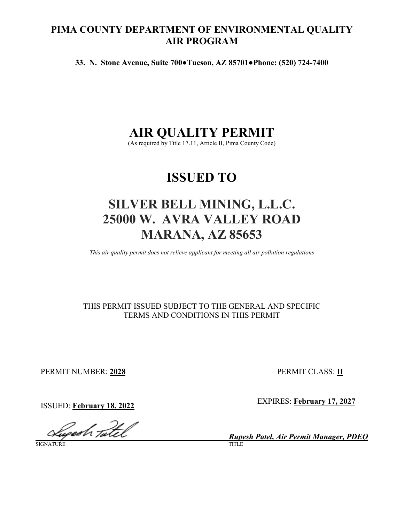## **PIMA COUNTY DEPARTMENT OF ENVIRONMENTAL QUALITY AIR PROGRAM**

**33. N. Stone Avenue, Suite 700●Tucson, AZ 85701●Phone: (520) 724-7400**

# **AIR QUALITY PERMIT**

(As required by Title 17.11, Article II, Pima County Code)

# **ISSUED TO**

# **SILVER BELL MINING, L.L.C. 25000 W. AVRA VALLEY ROAD MARANA, AZ 85653**

*This air quality permit does not relieve applicant for meeting all air pollution regulations*

## THIS PERMIT ISSUED SUBJECT TO THE GENERAL AND SPECIFIC TERMS AND CONDITIONS IN THIS PERMIT

PERMIT NUMBER: **2028** PERMIT CLASS: **II**

lugedh tatel

SIGNATURE TITLE

**ISSUED:** February 18, 2022 **EXPIRES:** EXPIRES: **February 17, 2027** 

*Rupesh Patel, Air Permit Manager, PDEQ*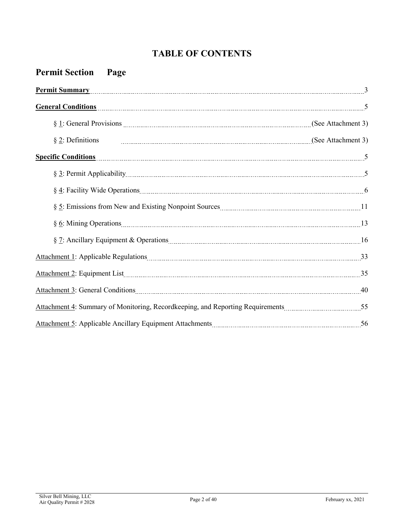# **TABLE OF CONTENTS**

| <b>Permit Section Page</b>                                                                                                                                                                                                                                                       |  |
|----------------------------------------------------------------------------------------------------------------------------------------------------------------------------------------------------------------------------------------------------------------------------------|--|
| <u>Permit Summary [30]</u> [30] <b>Permit Summary</b> [30] <b>Permit Summary</b> [30] <b>Permit Summary</b> [30] <b>Permit Summary</b> [30] <b>Permit Summary</b> [30] <b>Permit Summary</b> [30] <b>Permit Summary</b> [30] <b>Permit Summary</b> [30] <b>Permit Summary</b> [3 |  |
| General Conditions <b>Exercise Conditions</b> 5                                                                                                                                                                                                                                  |  |
|                                                                                                                                                                                                                                                                                  |  |
| $\S$ 2: Definitions                                                                                                                                                                                                                                                              |  |
| <b>Specific Conditions</b>                                                                                                                                                                                                                                                       |  |
|                                                                                                                                                                                                                                                                                  |  |
|                                                                                                                                                                                                                                                                                  |  |
|                                                                                                                                                                                                                                                                                  |  |
|                                                                                                                                                                                                                                                                                  |  |
|                                                                                                                                                                                                                                                                                  |  |
|                                                                                                                                                                                                                                                                                  |  |
|                                                                                                                                                                                                                                                                                  |  |
|                                                                                                                                                                                                                                                                                  |  |
|                                                                                                                                                                                                                                                                                  |  |
|                                                                                                                                                                                                                                                                                  |  |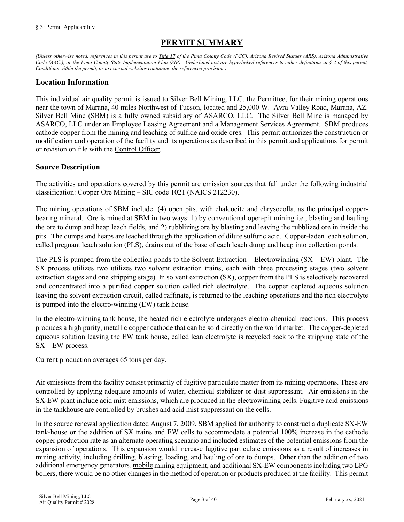## **PERMIT SUMMARY**

<span id="page-2-0"></span>*(Unless otherwise noted, references in this permit are t[o Title 17](https://tinyurl.com/y7xc7jvc) of the Pima County Code (PCC), Arizona Revised Statues (ARS), Arizona Administrative Code (AAC.), or the Pima County State Implementation Plan (SIP). Underlined text are hyperlinked references to either definitions in § 2 of this permit, Conditions within the permit, or to external websites containing the referenced provision.)*

### **Location Information**

This individual air quality permit is issued to Silver Bell Mining, LLC, the Permittee, for their mining operations near the town of Marana, 40 miles Northwest of Tucson, located and 25,000 W. Avra Valley Road, Marana, AZ. Silver Bell Mine (SBM) is a fully owned subsidiary of ASARCO, LLC. The Silver Bell Mine is managed by ASARCO, LLC under an Employee Leasing Agreement and a Management Services Agreement. SBM produces cathode copper from the mining and leaching of sulfide and oxide ores. This permit authorizes the construction or modification and operation of the facility and its operations as described in this permit and applications for permit or revision on file with the [Control Officer.](#page-31-1)

#### **Source Description**

The activities and operations covered by this permit are emission sources that fall under the following industrial classification: Copper Ore Mining – SIC code 1021 (NAICS 212230).

The mining operations of SBM include (4) open pits, with chalcocite and chrysocolla, as the principal copperbearing mineral. Ore is mined at SBM in two ways: 1) by conventional open-pit mining i.e., blasting and hauling the ore to dump and heap leach fields, and 2) rubblizing ore by blasting and leaving the rubblized ore in inside the pits. The dumps and heaps are leached through the application of dilute sulfuric acid. Copper-laden leach solution, called pregnant leach solution (PLS), drains out of the base of each leach dump and heap into collection ponds.

The PLS is pumped from the collection ponds to the Solvent Extraction – Electrowinning  $(SX – EW)$  plant. The SX process utilizes two utilizes two solvent extraction trains, each with three processing stages (two solvent extraction stages and one stripping stage). In solvent extraction (SX), copper from the PLS is selectively recovered and concentrated into a purified copper solution called rich electrolyte. The copper depleted aqueous solution leaving the solvent extraction circuit, called raffinate, is returned to the leaching operations and the rich electrolyte is pumped into the electro-winning (EW) tank house.

In the electro-winning tank house, the heated rich electrolyte undergoes electro-chemical reactions. This process produces a high purity, metallic copper cathode that can be sold directly on the world market. The copper-depleted aqueous solution leaving the EW tank house, called lean electrolyte is recycled back to the stripping state of the SX – EW process.

Current production averages 65 tons per day.

Air emissions from the facility consist primarily of fugitive particulate matter from its mining operations. These are controlled by applying adequate amounts of water, chemical stabilizer or dust suppressant. Air emissions in the SX-EW plant include acid mist emissions, which are produced in the electrowinning cells. Fugitive acid emissions in the tankhouse are controlled by brushes and acid mist suppressant on the cells.

In the source renewal application dated August 7, 2009, SBM applied for authority to construct a duplicate SX-EW tank-house or the addition of SX trains and EW cells to accommodate a potential 100% increase in the cathode copper production rate as an alternate operating scenario and included estimates of the potential emissions from the expansion of operations. This expansion would increase fugitive particulate emissions as a result of increases in mining activity, including drilling, blasting, loading, and hauling of ore to dumps. Other than the addition of two additional emergency generators[, mobile](#page-35-0) mining equipment, and additional SX-EW components including two LPG boilers, there would be no other changes in the method of operation or products produced at the facility. This permit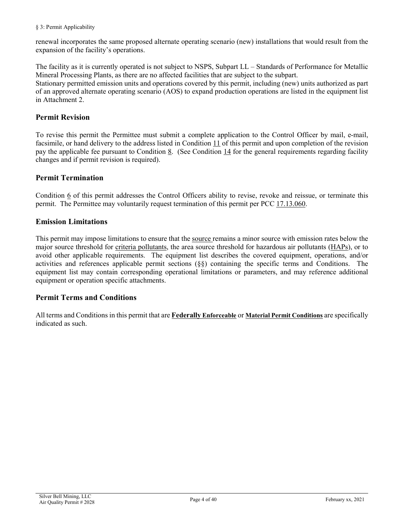#### § 3: Permit Applicability

renewal incorporates the same proposed alternate operating scenario (new) installations that would result from the expansion of the facility's operations.

The facility as it is currently operated is not subject to NSPS, Subpart LL – Standards of Performance for Metallic Mineral Processing Plants, as there are no affected facilities that are subject to the subpart. Stationary permitted emission units and operations covered by this permit, including (new) units authorized as part of an approved alternate operating scenario (AOS) to expand production operations are listed in the equipment list in Attachment 2.

#### **Permit Revision**

To revise this permit the Permittee must submit a complete application to the Control Officer by mail, e-mail, facsimile, or hand delivery to the address listed in [Condition 11](#page-27-0) of this permit and upon completion of the revision pay the applicable fee pursuant to [Condition 8.](#page-24-0) (See [Condition 14](#page-28-0) for the general requirements regarding facility changes and if permit revision is required).

### **Permit Termination**

[Condition 6](#page-24-1) of this permit addresses the Control Officers ability to revise, revoke and reissue, or terminate this permit. The Permittee may voluntarily request termination of this permit per PCC [17.13.060.](https://tinyurl.com/yypcqjop)

#### **Emission Limitations**

This permit may impose limitations to ensure that the [source](#page-36-0) remains a minor source with emission rates below the major source threshold for [criteria pollutants,](#page-36-1) the area source threshold for hazardous air pollutants [\(HAPs\)](#page-34-0), or to avoid other applicable requirements. The equipment list describes the covered equipment, operations, and/or activities and references applicable permit sections (§§) containing the specific terms and Conditions. The equipment list may contain corresponding operational limitations or parameters, and may reference additional equipment or operation specific attachments.

#### **Permit Terms and Conditions**

<span id="page-3-0"></span>All terms and Conditions in this permit that are **[Federally](#page-34-1) Enforceable** or **[Material Permit Condi](#page-35-1)tions** are specifically indicated as such.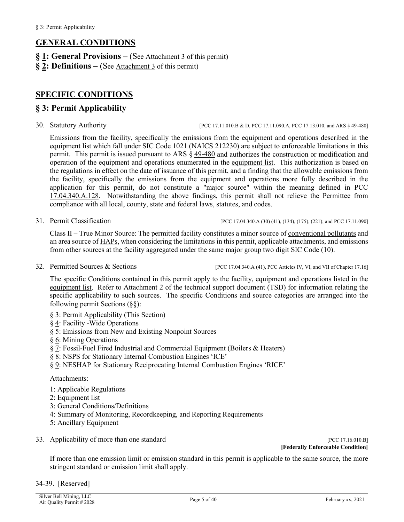## **GENERAL CONDITIONS**

- **§ [1:](#page-23-0) General Provisions –** (See [Attachment 3](#page-23-1) of this permit)
- **§ [2:](#page-31-0) Definitions –** (See [Attachment 3](#page-23-1) of this permit)

## <span id="page-4-0"></span>**SPECIFIC CONDITIONS**

### <span id="page-4-1"></span>**§ 3: Permit Applicability**

30. Statutory Authority [\[PCC 17.11.010.B & D,](https://tinyurl.com/ybffu656) [PCC 17.11.090.A,](https://tinyurl.com/yat2yhct) [PCC 17.13.010,](https://tinyurl.com/ya23abh3) and ARS § [49-480\]](https://tinyurl.com/ARS49-480)

Emissions from the facility, specifically the emissions from the equipment and operations described in the equipment list which fall under SIC Code 1021 (NAICS 212230) are subject to enforceable limitations in this permit. This permit is issued pursuant to ARS § [49-480](https://tinyurl.com/ARS49-480) and authorizes the construction or modification and operation of the equipment and operations enumerated in the [equipment list.](#page-19-0) This authorization is based on the regulations in effect on the date of issuance of this permit, and a finding that the allowable emissions from the facility, specifically the emissions from the equipment and operations more fully described in the application for this permit, do not constitute a "major source" within the meaning defined in PCC [17.04.340.A.128.](https://tinyurl.com/y9gh9owd) Notwithstanding the above findings, this permit shall not relieve the Permittee from compliance with all local, county, state and federal laws, statutes, and codes.

#### 31. Permit Classification [\[PCC 17.04.340.A \(30\) \(41\), \(134\), \(175\), \(221\);](https://tinyurl.com/y9gh9owd) an[d PCC 17.11.090\]](https://tinyurl.com/yat2yhct)

Class II – True Minor Source: The permitted facility constitutes a minor source of [conventional pollutants](#page-36-1) and an area source o[f HAPs,](#page-34-0) when considering the limitations in this permit, applicable attachments, and emissions from other sources at the facility aggregated under the same major group two digit SIC Code (10).

32. Permitted Sources & Sections [\[PCC 17.04.340.A \(41\),](https://tinyurl.com/y9gh9owd) PC[C Articles IV,](https://tinyurl.com/y2boavsq) [VI,](https://tinyurl.com/y9fxud5g) an[d VII](https://tinyurl.com/yx9e5vav) of Chapte[r 17.16\]](https://tinyurl.com/y7uokuy8)

The specific Conditions contained in this permit apply to the facility, equipment and operations listed in the [equipment list.](#page-19-0) Refer to Attachment 2 of the technical support document (TSD) for information relating the specific applicability to such sources. The specific Conditions and source categories are arranged into the following permit Sections (§§):

- § 3: Permit Applicability (This Section)
- § [4:](#page-5-0) Facility -Wide Operations
- § [5:](#page-10-0) Emissions from New and Existing Nonpoint Sources
- § [6:](#page-11-0) Mining Operations
- § 7: Fossil-Fuel Fired Industrial and Commercial Equipment (Boilers & Heaters)
- § 8: NSPS for Stationary Internal Combustion Engines 'ICE'
- § 9: NESHAP for Stationary Reciprocating Internal Combustion Engines 'RICE'

#### Attachments:

- 1: Applicable Regulations
- 2: Equipment list
- 3: General Conditions/Definitions
- 4: Summary of Monitoring, Recordkeeping, and Reporting Requirements
- 5: Ancillary Equipment
- 33. Applicability of more than one standard [\[PCC 17.16.010.B\]](https://tinyurl.com/yxanjjfe)

**[[Federally Enforceable Condition](#page-34-1)]**

If more than one emission limit or emission standard in this permit is applicable to the same source, the more stringent standard or emission limit shall apply.

34-39. [Reserved]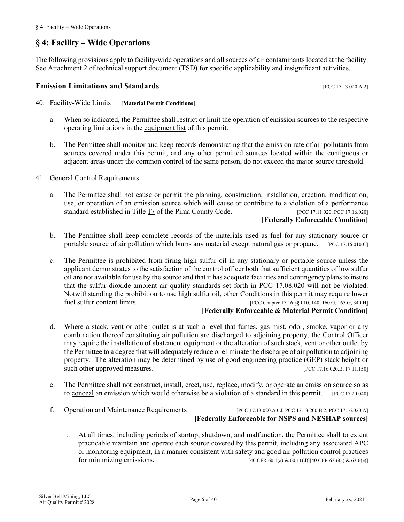## <span id="page-5-0"></span>**§ 4: Facility – Wide Operations**

The following provisions apply to facility-wide operations and all sources of air contaminants located at the facility. See Attachment 2 of technical support document (TSD) for specific applicability and insignificant activities.

#### **Emission Limitations and Standards** [\[PCC 17.13.020.A.2\]](https://tinyurl.com/y2whqkle)

- <span id="page-5-1"></span>40. Facility-Wide Limits **[[Material Permit Conditions](#page-35-1)]**
	- a. When so indicated, the Permittee shall restrict or limit the operation of emission sources to the respective operating limitations in the [equipment list](#page-19-0) of this permit.
	- b. The Permittee shall monitor and keep records demonstrating that the emission rate of [air pollutants](#page-31-2) from sources covered under this permit, and any other permitted sources located within the contiguous or adjacent areas under the common control of the same person, do not exceed the [major source threshold.](#page-34-2)
- 41. General Control Requirements
	- a. The Permittee shall not cause or permit the planning, construction, installation, erection, modification, use, or operation of an emission source which will cause or contribute to a violation of a performance standard established in [Title 17](https://tinyurl.com/y7xc7jvc) of the Pima County Code. [\[PCC 17.11.020,](https://tinyurl.com/y33qtc4n) [PCC 17.16.020\]](https://tinyurl.com/y4f72q4a) **[[Federally Enforceable Condition](#page-34-1)]**
	- b. The Permittee shall keep complete records of the materials used as fuel for any stationary source or portable source of air pollution which burns any material except natural gas or propane. [\[PCC 17.16.010.C\]](https://tinyurl.com/yxanjjfe)
	- c. The Permittee is prohibited from firing high sulfur oil in any stationary or portable source unless the applicant demonstrates to the satisfaction of the control officer both that sufficient quantities of low sulfur oil are not available for use by the source and that it has adequate facilities and contingency plans to insure that the sulfur dioxide ambient air quality standards set forth in PCC 17.08.020 will not be violated. Notwithstanding the prohibition to use high sulfur oil, other Conditions in this permit may require lower fuel sulfur content limits. [PCC Chapte[r 17.16](https://tinyurl.com/y7uokuy8) §[§ 010,](https://tinyurl.com/yxanjjfe) [140,](https://tinyurl.com/yxrz7b32) [160.G,](https://tinyurl.com/yyegwtlj) [165.G,](https://tinyurl.com/y4nv77za) [340.H\]](https://tinyurl.com/ya2sf2jc)

#### **[[Federally Enforceable](#page-34-1) & [Material Permit Condition\]](#page-35-1)**

- d. Where a stack, vent or other outlet is at such a level that fumes, gas mist, odor, smoke, vapor or any combination thereof constituting [air pollution](#page-31-2) are discharged to adjoining property, the [Control Officer](#page-31-1) may require the installation of abatement equipment or the alteration of such stack, vent or other outlet by the Permittee to a degree that will adequately reduce or eliminate the discharge o[f air pollution](#page-31-2) to adjoining property. The alteration may be determined by use of [good engineering practice](https://tinyurl.com/y5o5pvjn) (GEP) stack height or such other approved measures. [\[PCC 17.16.020.B,](https://tinyurl.com/y4f72q4a) [17.11.150\]](https://tinyurl.com/y5o5pvjn)
- e. The Permittee shall not construct, install, erect, use, replace, modify, or operate an emission source so as to [conceal](#page-31-3) an emission which would otherwise be a violation of a standard in this permit. [\[PCC 17.20.040\]](https://tinyurl.com/y5pqwkg8)
- 

### <span id="page-5-2"></span>f. Operation and Maintenance Requirements [\[PCC 17.13.020.](https://tinyurl.com/y2whqkle)A3.d, PC[C 17.13.200.B.2,](https://tinyurl.com/y49knu68) PC[C 17.16.020.A\]](https://tinyurl.com/y4f72q4a) **[[Federally Enforceable](#page-34-1) for [NSPS](https://tinyurl.com/y7zuanhf) and [NESHAP](https://tinyurl.com/40-CFR-Part-63) sources]**

i. At all times, including periods of [startup, shutdown, and malfunction,](#page-34-3) the Permittee shall to extent practicable maintain and operate each source covered by this permit, including any associated APC or monitoring equipment, in a manner consistent with safety and goo[d air pollution](#page-31-2) control practices for minimizing emissions. [40 CF[R 60.1\(a\)](https://tinyurl.com/y7zuanhf) [& 60.11\(d\)\]](https://tinyurl.com/y7zuanhf)[40 CF[R 63.6\(a\) & 63.6\(e\)\]](https://tinyurl.com/40-CFR-Part-63)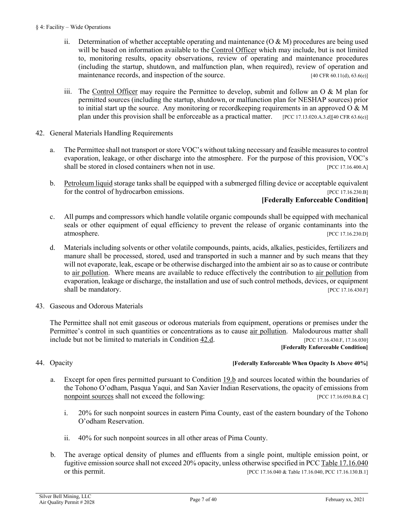- ii. Determination of whether acceptable operating and maintenance  $(O & M)$  procedures are being used will be based on information available to the [Control Officer](#page-31-1) which may include, but is not limited to, monitoring results, opacity observations, review of operating and maintenance procedures (including the startup, shutdown, and malfunction plan, when required), review of operation and maintenance records, and inspection of the source. [40 CF[R 60.11\(d\),](https://tinyurl.com/y7zuanhf) [63.6\(e\)\]](https://tinyurl.com/y5ala8b3)
- iii. The [Control Officer](#page-31-1) may require the Permittee to develop, submit and follow an O  $\&$  M plan for permitted sources (including the startup, shutdown, or malfunction plan for NESHAP sources) prior to initial start up the source. Any monitoring or recordkeeping requirements in an approved  $O & M$ plan under this provision shall be enforceable as a practical matter. [\[PCC 17.13.020.A.3.d\]](https://tinyurl.com/y2whqkle)[40 CF[R 63.6\(e\)\]](https://tinyurl.com/y5ala8b3)
- 42. General Materials Handling Requirements
	- a. The Permittee shall not transport or store VOC's without taking necessary and feasible measures to control evaporation, leakage, or other discharge into the atmosphere. For the purpose of this provision, VOC's shall be stored in closed containers when not in use. [PCC 17.16.400.A]
	- b. [Petroleum liquid](#page-35-2) storage tanks shall be equipped with a submerged filling device or acceptable equivalent for the control of hydrocarbon emissions. [\[PCC 17.16.230.B\]](https://tinyurl.com/yxe4lh66)

#### **[[Federally Enforceable Condition](#page-34-1)]**

- c. All pumps and compressors which handle volatile organic compounds shall be equipped with mechanical seals or other equipment of equal efficiency to prevent the release of organic contaminants into the atmosphere. [\[PCC 17.16.230.D\]](https://tinyurl.com/yxe4lh66)
- <span id="page-6-0"></span>d. Materials including solvents or other volatile compounds, paints, acids, alkalies, pesticides, fertilizers and manure shall be processed, stored, used and transported in such a manner and by such means that they will not evaporate, leak, escape or be otherwise discharged into the ambient air so as to cause or contribute to [air pollution.](#page-31-2) Where means are available to reduce effectively the contribution to [air pollution](#page-31-2) from evaporation, leakage or discharge, the installation and use of such control methods, devices, or equipment shall be mandatory. [\[PCC 17.16.430.F\]](https://tinyurl.com/y46adwnc)
- 43. Gaseous and Odorous Materials

The Permittee shall not emit gaseous or odorous materials from equipment, operations or premises under the Permittee's control in such quantities or concentrations as to cause [air pollution.](#page-31-2) Malodourous matter shall include but not be limited to materials in [Condition 42.d.](#page-6-0) [\[PCC 17.16.430.F,](https://tinyurl.com/y46adwnc) [17.16.030\]](https://tinyurl.com/y2gnrumc) **[[Federally Enforceable Condition](#page-34-1)]**

## <span id="page-6-1"></span>44. Opacity **[[Federally Enforceable](#page-34-1) When Opacity Is Above 40%]**

- a. Except for open fires permitted pursuant to [Condition 19.b](#page-30-0) and sources located within the boundaries of the Tohono O'odham, Pasqua Yaqui, and San Xavier Indian Reservations, the opacity of emissions from [nonpoint sources](#page-35-3) shall not exceed the following: [\[PCC 17.16.050.B.& C\]](https://tinyurl.com/y249bvpz)
	- i. 20% for such nonpoint sources in eastern Pima County, east of the eastern boundary of the Tohono O'odham Reservation.
	- ii. 40% for such nonpoint sources in all other areas of Pima County.
- <span id="page-6-2"></span>b. The average optical density of plumes and effluents from a single point, multiple emission point, or fugitive emission source shall not exceed 20% opacity, unless otherwise specified in [PCC Table 17.16.040](https://tinyurl.com/y253pgyg) or this permit. [PC[C 17.16.040 & Table 17.16.040,](https://tinyurl.com/y253pgyg) [PCC 17.16.130.B.1\]](https://tinyurl.com/y2zgab38)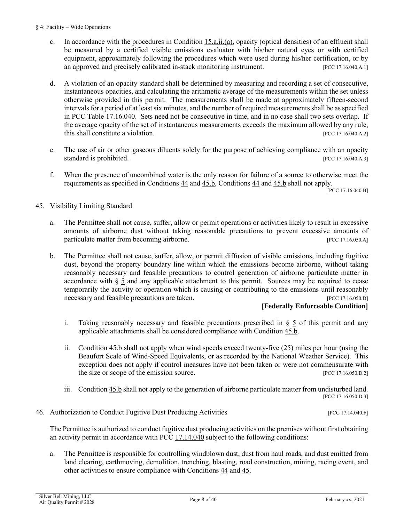- c. In accordance with the procedures in Condition  $15.a.ii.(a)$ , opacity (optical densities) of an effluent shall be measured by a certified visible emissions evaluator with his/her natural eyes or with certified equipment, approximately following the procedures which were used during his/her certification, or by an approved and precisely calibrated in-stack monitoring instrument. [\[PCC 17.16.040.A.1\]](https://tinyurl.com/y253pgyg)
- d. A violation of an opacity standard shall be determined by measuring and recording a set of consecutive, instantaneous opacities, and calculating the arithmetic average of the measurements within the set unless otherwise provided in this permit. The measurements shall be made at approximately fifteen-second intervals for a period of at least six minutes, and the number of required measurements shall be as specified in [PCC Table 17.16.040.](https://tinyurl.com/y253pgyg) Sets need not be consecutive in time, and in no case shall two sets overlap. If the average opacity of the set of instantaneous measurements exceeds the maximum allowed by any rule, this shall constitute a violation. [\[PCC 17.16.040.A.2\]](https://tinyurl.com/y253pgyg)
- e. The use of air or other gaseous diluents solely for the purpose of achieving compliance with an opacity standard is prohibited. [\[PCC 17.16.040.A.3\]](https://tinyurl.com/y253pgyg)
- f. When the presence of uncombined water is the only reason for failure of a source to otherwise meet the requirements as specified in [Conditions 44](#page-7-0) and [45.b,](#page-7-1) [Conditions 44](#page-7-0) and [45.b](#page-7-1) shall not apply.

[\[PCC 17.16.040.B\]](https://tinyurl.com/y253pgyg)

- <span id="page-7-1"></span><span id="page-7-0"></span>45. Visibility Limiting Standard
	- a. The Permittee shall not cause, suffer, allow or permit operations or activities likely to result in excessive amounts of airborne dust without taking reasonable precautions to prevent excessive amounts of particulate matter from becoming airborne. [\[PCC 17.16.050.A\]](https://tinyurl.com/y249bvpz)
	- b. The Permittee shall not cause, suffer, allow, or permit diffusion of visible emissions, including fugitive dust, beyond the property boundary line within which the emissions become airborne, without taking reasonably necessary and feasible precautions to control generation of airborne particulate matter in accordance with [§](#page-10-0) 5 and any applicable attachment to this permit. Sources may be required to cease temporarily the activity or operation which is causing or contributing to the emissions until reasonably necessary and feasible precautions are taken. [\[PCC 17.16.050.D\]](https://tinyurl.com/y249bvpz)

#### **[\[Federally Enforceable Condition\]](#page-34-1)**

- i. Taking reasonably necessary and feasible precautions prescribed in  $\S$  5 of this permit and any applicable attachments shall be considered compliance with [Condition 45.b.](#page-7-1)
- ii. [Condition 45.b](#page-7-1) shall not apply when wind speeds exceed twenty-five (25) miles per hour (using the Beaufort Scale of Wind-Speed Equivalents, or as recorded by the National Weather Service). This exception does not apply if control measures have not been taken or were not commensurate with the size or scope of the emission source. [\[PCC 17.16.050.D.2\]](https://tinyurl.com/y249bvpz)
- iii. [Condition 45.b](#page-7-1) shall not apply to the generation of airborne particulate matter from undisturbed land. [\[PCC 17.16.050.D.3\]](https://tinyurl.com/y249bvpz)
- <span id="page-7-2"></span>46. Authorization to Conduct Fugitive Dust Producing Activities [\[PCC 17.14.040.F\]](https://tinyurl.com/yakzyw8v)

The Permittee is authorized to conduct fugitive dust producing activities on the premises without first obtaining an activity permit in accordance with PCC [17.14.040](https://tinyurl.com/yakzyw8v) subject to the following conditions:

a. The Permittee is responsible for controlling windblown dust, dust from haul roads, and dust emitted from land clearing, earthmoving, demolition, trenching, blasting, road construction, mining, racing event, and other activities to ensure compliance with [Conditions 44](#page-6-1) and [45.](#page-7-0)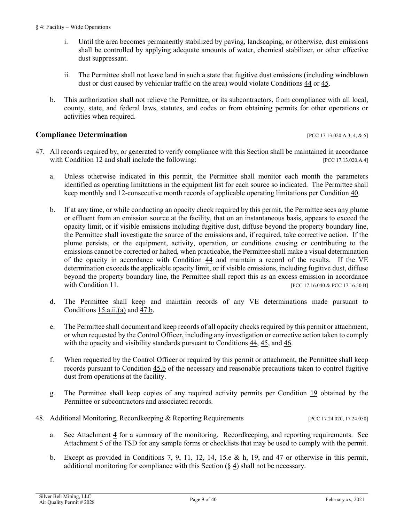- i. Until the area becomes permanently stabilized by paving, landscaping, or otherwise, dust emissions shall be controlled by applying adequate amounts of water, chemical stabilizer, or other effective dust suppressant.
- ii. The Permittee shall not leave land in such a state that fugitive dust emissions (including windblown dust or dust caused by vehicular traffic on the area) would violate [Conditions 44](#page-6-1) or [45.](#page-7-0)
- b. This authorization shall not relieve the Permittee, or its subcontractors, from compliance with all local, county, state, and federal laws, statutes, and codes or from obtaining permits for other operations or activities when required.

### **Compliance Determination** [\[PCC 17.13.020.A.3, 4, & 5\]](https://tinyurl.com/y2whqkle)

- 
- <span id="page-8-1"></span><span id="page-8-0"></span>47. All records required by, or generated to verify compliance with this Section shall be maintained in accordance with [Condition 12](#page-27-1) and shall include the following: [\[PCC 17.13.020.A.4\]](https://tinyurl.com/y2whqkle)
	- a. Unless otherwise indicated in this permit, the Permittee shall monitor each month the parameters identified as operating limitations in the [equipment list](#page-19-0) for each source so indicated. The Permittee shall keep monthly and 12-consecutive month records of applicable operating limitations per [Condition](#page-5-1) 40.
	- b. If at any time, or while conducting an opacity check required by this permit, the Permittee sees any plume or effluent from an emission source at the facility, that on an instantaneous basis, appears to exceed the opacity limit, or if visible emissions including fugitive dust, diffuse beyond the property boundary line, the Permittee shall investigate the source of the emissions and, if required, take corrective action. If the plume persists, or the equipment, activity, operation, or conditions causing or contributing to the emissions cannot be corrected or halted, when practicable, the Permittee shall make a visual determination of the opacity in accordance with [Condition 44](#page-6-1) and maintain a record of the results. If the VE determination exceeds the applicable opacity limit, or if visible emissions, including fugitive dust, diffuse beyond the property boundary line, the Permittee shall report this as an excess emission in accordance with [Condition](#page-26-0) 11. **[PC[C 17.16.040](https://tinyurl.com/y253pgyg) & PC[C 17.16.50.B\]](https://tinyurl.com/y249bvpz)**
	- d. The Permittee shall keep and maintain records of any VE determinations made pursuant to [Conditions](#page-28-1) 15.a.ii.(a) and [47.b.](#page-8-0)
	- e. The Permittee shall document and keep records of all opacity checks required by this permit or attachment, or when requested by the [Control Officer,](#page-31-1) including any investigation or corrective action taken to comply with the opacity and visibility standards pursuant t[o Conditions 44,](#page-6-1) [45,](#page-7-0) and [46.](#page-7-2)
	- f. When requested by the [Control Officer](#page-31-1) or required by this permit or attachment, the Permittee shall keep records pursuant to [Condition 45.b](#page-7-1) of the necessary and reasonable precautions taken to control fugitive dust from operations at the facility.
	- g. The Permittee shall keep copies of any required activity permits per [Condition 19](#page-30-1) obtained by the Permittee or subcontractors and associated records.
- 48. Additional Monitoring, Recordkeeping & Reporting Requirements [\[PCC 17.24.020,](https://tinyurl.com/y62zwv83) [17.24.050\]](https://tinyurl.com/y5tpwy9v)
	- a. See Attachment  $\frac{4}{3}$  for a summary of the monitoring. Recordkeeping, and reporting requirements. See Attachment 5 of the TSD for any sample forms or checklists that may be used to comply with the permit.
	- b. Except as provided in Conditions  $\overline{2}$ ,  $\overline{9}$ ,  $\overline{11}$ ,  $\overline{12}$ ,  $\overline{14}$ ,  $\overline{15}$ .  $\&$  h,  $\overline{19}$ , and  $\overline{47}$  or otherwise in this permit, additional monitoring for compliance with this Section  $(\S 4)$  $(\S 4)$  shall not be necessary.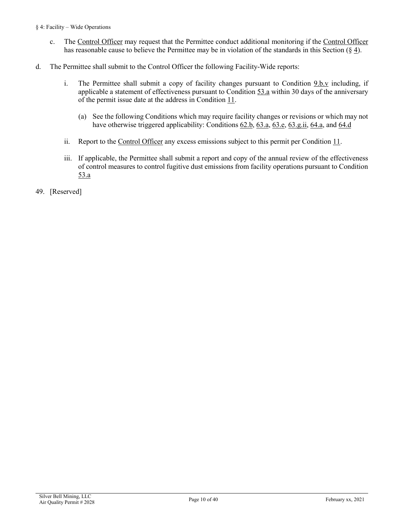- c. The [Control Officer](#page-31-1) may request that the Permittee conduct additional monitoring if the [Control](#page-31-1) Officer has reasonable cause to believe the Permittee may be in violation of the standards in this Section [\(§](#page-5-0) 4).
- <span id="page-9-0"></span>d. The Permittee shall submit to the Control Officer the following Facility-Wide reports:
	- i. The Permittee shall submit a copy of facility changes pursuant to [Condition 9.b.v](#page-26-1) including, if applicable a statement of effectiveness pursuant to [Condition 53.a](#page-11-1) within 30 days of the anniversary of the permit issue date at the address in [Condition](#page-27-0) 11.
		- (a) See the following Conditions which may require facility changes or revisions or which may not have otherwise triggered applicability[: Conditions](#page-12-0) 62.b, [63.a, 63.e, 63.g.ii,](#page-13-0) 64.a, and 64.d
	- ii. Report to the [Control Officer](#page-31-1) any excess emissions subject to this permit per [Condition 11.](#page-26-0)
	- iii. If applicable, the Permittee shall submit a report and copy of the annual review of the effectiveness of control measures to control fugitive dust emissions from facility operations pursuant to [Condition](#page-11-1)  [53.a](#page-11-1)
- 49. [Reserved]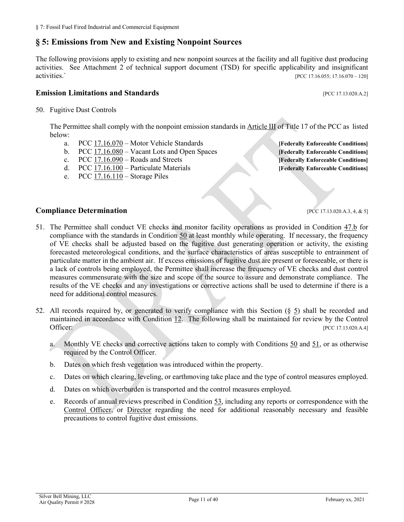## <span id="page-10-0"></span>**§ 5: Emissions from New and Existing Nonpoint Sources**

The following provisions apply to existing and new nonpoint sources at the facility and all fugitive dust producing activities. See Attachment 2 of technical support document (TSD) for specific applicability and insignificant activities.` [\[PCC 17.16.055; 17.16.070 –](https://tinyurl.com/y4z9ams9) 120]

#### **Emission Limitations and Standards Emission Limitations and Standards Executive Limitations and Standards**

<span id="page-10-4"></span><span id="page-10-1"></span>50. Fugitive Dust Controls

The Permittee shall comply with the nonpoint emission standards i[n Article III](https://tinyurl.com/y4z9ams9) of Title 17 of the PCC as listed below:

- a. PCC [17.16.070](https://tinyurl.com/yx9j7qqd) Motor Vehicle Standards **[\[Federally Enforceable Conditions\]](#page-34-1)**
- b. PCC [17.16.080](https://tinyurl.com/yxg2hspc) Vacant Lots and Open Spaces **[\[Federally Enforceable Conditions\]](#page-34-1)**
- c. PCC [17.16.090](https://tinyurl.com/y3qac9au) Roads and Streets **[\[Federally Enforceable Conditions\]](#page-34-1)**
- d. PCC [17.16.100](https://tinyurl.com/y4fz85g2) Particulate Materials **[\[Federally Enforceable Conditions\]](#page-34-1)**
- e. PCC [17.16.110](https://tinyurl.com/y4e6jm2y) Storage Piles

#### **Compliance Determination** [\[PCC 17.13.020.A.3, 4, & 5\]](https://tinyurl.com/y2whqkle)

- <span id="page-10-2"></span>51. The Permittee shall conduct VE checks and monitor facility operations as provided in Condition [47.b](#page-8-0) for compliance with the standards in Condition [50](#page-10-1) at least monthly while operating. If necessary, the frequency of VE checks shall be adjusted based on the fugitive dust generating operation or activity, the existing forecasted meteorological conditions, and the surface characteristics of areas susceptible to entrainment of particulate matter in the ambient air. If excess emissions of fugitive dust are present or foreseeable, or there is a lack of controls being employed, the Permittee shall increase the frequency of VE checks and dust control measures commensurate with the size and scope of the source to assure and demonstrate compliance. The results of the VE checks and any investigations or corrective actions shall be used to determine if there is a need for additional control measures.
- <span id="page-10-5"></span><span id="page-10-3"></span>52. All records required by, or generated to verify compliance with this Section [\(§](#page-10-0) 5) shall be recorded and maintained in accordance with [Condition 12.](#page-27-1) The following shall be maintained for review by the Control Officer: [\[PCC 17.13.020.A.4\]](https://tinyurl.com/ychblmx5)
	- a. Monthly VE checks and corrective actions taken to comply with [Conditions](#page-10-1) 50 and [51,](#page-10-2) or as otherwise required by the Control Officer.
	- b. Dates on which fresh vegetation was introduced within the property.
	- c. Dates on which clearing, leveling, or earthmoving take place and the type of control measures employed.
	- d. Dates on which overburden is transported and the control measures employed.
	- e. Records of annual reviews prescribed in [Condition 53,](#page-10-3) including any reports or correspondence with the [Control Officer,](#page-31-1) or [Director](#page-31-4) regarding the need for additional reasonably necessary and feasible precautions to control fugitive dust emissions.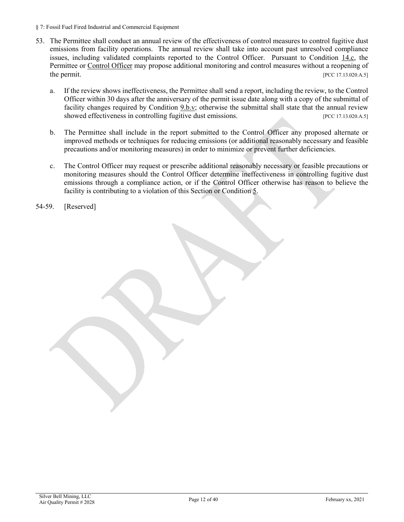- § 7: Fossil Fuel Fired Industrial and Commercial Equipment
- <span id="page-11-1"></span>53. The Permittee shall conduct an annual review of the effectiveness of control measures to control fugitive dust emissions from facility operations. The annual review shall take into account past unresolved compliance issues, including validated complaints reported to the Control Officer. Pursuant to [Condition 14.c,](#page-28-2) the Permittee or [Control Officer](#page-31-1) may propose additional monitoring and control measures without a reopening of the permit. [\[PCC 17.13.020.A.5\]](https://tinyurl.com/y2whqkle)
	- a. If the review shows ineffectiveness, the Permittee shall send a report, including the review, to the Control Officer within 30 days after the anniversary of the permit issue date along with a copy of the submittal of facility changes required by [Condition 9.b.v;](#page-26-1) otherwise the submittal shall state that the annual review showed effectiveness in controlling fugitive dust emissions. [\[PCC 17.13.020.A.5\]](https://tinyurl.com/y2whqkle)
	- b. The Permittee shall include in the report submitted to the Control Officer any proposed alternate or improved methods or techniques for reducing emissions (or additional reasonably necessary and feasible precautions and/or monitoring measures) in order to minimize or prevent further deficiencies.
	- c. The Control Officer may request or prescribe additional reasonably necessary or feasible precautions or monitoring measures should the Control Officer determine ineffectiveness in controlling fugitive dust emissions through a compliance action, or if the Control Officer otherwise has reason to believe the facility is contributing to a violation of this Section or [Condition 5.](#page-24-3)

<span id="page-11-0"></span>54-59. [Reserved]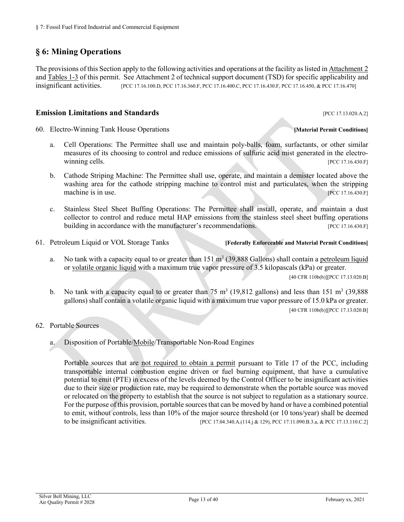## **§ 6: Mining Operations**

The provisions of this Section apply to the following activities and operations at the facility as listed i[n Attachment](#page-19-1) 2 and [Tables 1-3](#page-19-2) of this permit. See Attachment 2 of technical support document (TSD) for specific applicability and insignificant activities. [\[PCC 17.16.100.D,](https://tinyurl.com/y4fz85g2) [PCC 17.16.360.F,](https://tinyurl.com/y5bl3bsl) [PCC 17.16.400.C,](https://tinyurl.com/y6h3jngg) [PCC 17.16.430.F,](https://tinyurl.com/y46adwnc) [PCC 17.16.450,](https://tinyurl.com/y3upeeht) [& PCC 17.16.470\]](https://tinyurl.com/y272vxh9)

#### **Emission Limitations and Standards** [\[PCC 17.13.020.A.2\]](https://tinyurl.com/y2whqkle)

60. Electro-Winning Tank House Operations **[\[Material Permit Conditions\]](#page-35-1)**

- a. Cell Operations: The Permittee shall use and maintain poly-balls, foam, surfactants, or other similar measures of its choosing to control and reduce emissions of sulfuric acid mist generated in the electrowinning cells. **Example 2018 Example 2018 Example 2018 EXAMPLE 2018 EXAMPLE 2018 EXAMPLE 2018 EXAMPLE 2018**
- b. Cathode Striping Machine: The Permittee shall use, operate, and maintain a demister located above the washing area for the cathode stripping machine to control mist and particulates, when the stripping machine is in use. [\[PCC 17.16.430.F\]](https://tinyurl.com/y46adwnc)
- c. Stainless Steel Sheet Buffing Operations: The Permittee shall install, operate, and maintain a dust collector to control and reduce metal HAP emissions from the stainless steel sheet buffing operations building in accordance with the manufacturer's recommendations. [\[PCC 17.16.430.F\]](https://tinyurl.com/y46adwnc)
- 61. Petroleum Liquid or VOL Storage Tanks **[[Federally Enforceable](#page-34-1) an[d Material Permit Condition](#page-35-1)s]**
	- a. No tank with a capacity equal to or greater than  $151 \text{ m}^3$  (39,888 Gallons) shall contain a [petroleum liquid](#page-35-2) or [volatile organic liquid](#page-36-2) with a maximum true vapor pressure of 3.5 kilopascals (kPa) or greater.

[\[40 CFR 110b\(b\)\]\[PCC 17.13.020.B\]](https://tinyurl.com/40-CFR-60-Subpart-Kb)

- b. No tank with a capacity equal to or greater than 75 m<sup>3</sup> (19,812 gallons) and less than 151 m<sup>3</sup> (39,888) gallons) shall contain a volatile organic liquid with a maximum true vapor pressure of 15.0 kPa or greater. [\[40 CFR 110b\(b\)\]\[PCC 17.13.020.B\]](https://tinyurl.com/40-CFR-60-Subpart-Kb)
- <span id="page-12-1"></span>62. Portable Sources
	- a. Disposition of Portable[/Mobile/](#page-35-0)Transportable Non-Road Engines

<span id="page-12-0"></span>Portable sources that are [not required to obtain a permit](https://tinyurl.com/yat2yhct) pursuant to Title 17 of the PCC, including transportable internal combustion engine driven or fuel burning equipment, that have a cumulative potential to emit (PTE) in excess of the levels deemed by the Control Officer to be insignificant activities due to their size or production rate, may be required to demonstrate when the portable source was moved or relocated on the property to establish that the source is not subject to regulation as a stationary source. For the purpose of this provision, portable sources that can be moved by hand or have a combined potential to emit, without controls, less than 10% of the major source threshold (or 10 tons/year) shall be deemed<br>to be insignificant activities. [PCC 17.04.340.A.(114.j & 129), PCC 17.11.090.B.3.a, & PCC 17.13.110.C.21 [\[PCC 17.04.340.A.\(114.j & 129\),](https://tinyurl.com/y9gh9owd) [PCC 17.11.090.B.3.a,](https://tinyurl.com/yat2yhct) [& PCC 17.13.110.C.2\]](https://tinyurl.com/y5p6yuan)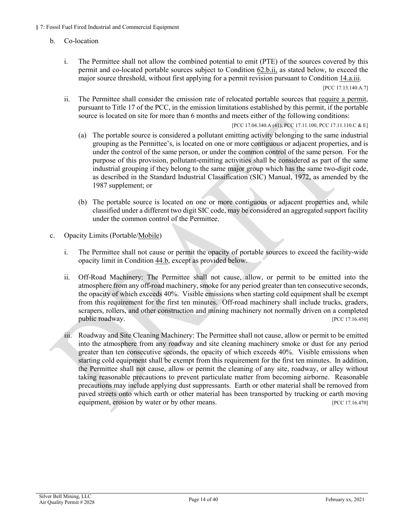#### b. Co-location

- i. The Permittee shall not allow the combined potential to emit (PTE) of the sources covered by this permit and co-located portable sources subject to [Condition 62.b.ii,](#page-13-1) as stated below, to exceed the major source threshold, without first applying for a permit revision pursuant to [Condition 14.a.iii.](#page-28-3) [PCC [17.13.140.A.7\]](https://tinyurl.com/y3ttw8kb)
- <span id="page-13-1"></span>ii. The Permittee shall consider the emission rate of relocated portable sources that [require a permit,](https://tinyurl.com/yat2yhct) pursuant to Title 17 of the PCC, in the emission limitations established by this permit, if the portable source is located on site for more than 6 months and meets either of the following conditions:

[\[PCC 17.04.340.A \(41\),](https://tinyurl.com/y9gh9owd) [PCC 17.11.100,](https://tinyurl.com/yyk7lqbe) PCC 17.11.110.C & E]

- (a) The portable source is considered a pollutant emitting activity belonging to the same industrial grouping as the Permittee's, is located on one or more contiguous or adjacent properties, and is under the control of the same person, or under the common control of the same person. For the purpose of this provision, pollutant-emitting activities shall be considered as part of the same industrial grouping if they belong to the same major group which has the same two-digit code, as described in the Standard Industrial Classification (SIC) Manual, 1972, as amended by the 1987 supplement; or
- (b) The portable source is located on one or more contiguous or adjacent properties and, while classified under a different two digit SIC code, may be considered an aggregated support facility under the common control of the Permittee.
- <span id="page-13-2"></span><span id="page-13-0"></span>c. Opacity Limits (Portable[/Mobile\)](#page-35-0)
	- i. The Permittee shall not cause or permit the opacity of portable sources to exceed the facility-wide opacity limit in [Condition 44.b,](#page-6-2) except as provided below.
	- ii. Off-Road Machinery: The Permittee shall not cause, allow, or permit to be emitted into the atmosphere from any off-road machinery, smoke for any period greater than ten consecutive seconds, the opacity of which exceeds 40%. Visible emissions when starting cold equipment shall be exempt from this requirement for the first ten minutes. Off-road machinery shall include trucks, graders, scrapers, rollers, and other construction and mining machinery not normally driven on a completed public roadway. [\[PCC 17.16.450\]](https://tinyurl.com/y3upeeht)
	- iii. Roadway and Site Cleaning Machinery: The Permittee shall not cause, allow or permit to be emitted into the atmosphere from any roadway and site cleaning machinery smoke or dust for any period greater than ten consecutive seconds, the opacity of which exceeds 40%. Visible emissions when starting cold equipment shall be exempt from this requirement for the first ten minutes. In addition, the Permittee shall not cause, allow or permit the cleaning of any site, roadway, or alley without taking reasonable precautions to prevent particulate matter from becoming airborne. Reasonable precautions may include applying dust suppressants. Earth or other material shall be removed from paved streets onto which earth or other material has been transported by trucking or earth moving equipment, erosion by water or by other means. [\[PCC 17.16.470\]](https://tinyurl.com/y272vxh9)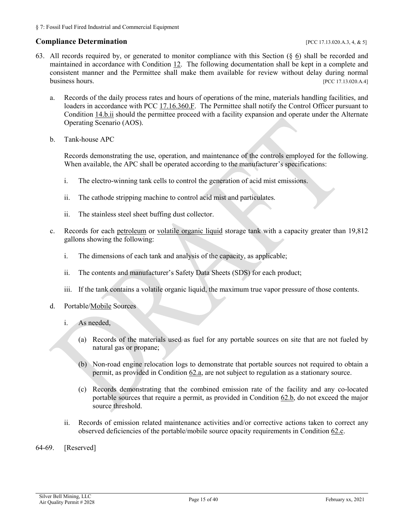### <span id="page-14-2"></span><span id="page-14-1"></span>**Compliance Determination** *Compliance* **Determination**

- <span id="page-14-5"></span>63. All records required by, or generated to monitor compliance with this Section [\(§ 6\)](#page-11-0) shall be recorded and maintained in accordance with [Condition 12.](#page-27-1) The following documentation shall be kept in a complete and consistent manner and the Permittee shall make them available for review without delay during normal business hours. [\[PCC 17.13.020.A.4\]](https://tinyurl.com/ychblmx5)
	- a. Records of the daily process rates and hours of operations of the mine, materials handling facilities, and loaders in accordance with [PCC 17.16.360.F.](https://tinyurl.com/y5bl3bsl) The Permittee shall notify the Control Officer pursuant to [Condition 14.b.ii](#page-28-4) should the permittee proceed with a facility expansion and operate under the Alternate Operating Scenario (AOS).
	- b. Tank-house APC

<span id="page-14-6"></span><span id="page-14-3"></span>Records demonstrating the use, operation, and maintenance of the controls employed for the following. When available, the APC shall be operated according to the manufacturer's specifications:

- <span id="page-14-4"></span>i. The electro-winning tank cells to control the generation of acid mist emissions.
- ii. The cathode stripping machine to control acid mist and particulates.
- ii. The stainless steel sheet buffing dust collector.
- <span id="page-14-7"></span>c. Records for each [petroleum](#page-35-2) or [volatile organic liquid](#page-36-2) storage tank with a capacity greater than 19,812 gallons showing the following:
	- i. The dimensions of each tank and analysis of the capacity, as applicable;
	- ii. The contents and manufacturer's Safety Data Sheets (SDS) for each product;
	- iii. If the tank contains a volatile organic liquid, the maximum true vapor pressure of those contents.
- <span id="page-14-8"></span>d. Portable[/Mobile](#page-35-0) Sources
	- i. As needed,
		- (a) Records of the materials used as fuel for any portable sources on site that are not fueled by natural gas or propane;
		- (b) Non-road engine relocation logs to demonstrate that portable sources not required to obtain a permit, as provided i[n Condition 62.a,](#page-12-1) are not subject to regulation as a stationary source.
		- (c) Records demonstrating that the combined emission rate of the facility and any co-located portable sources that require a permit, as provided in [Condition 62.b,](#page-12-0) do not exceed the major source threshold.
	- ii. Records of emission related maintenance activities and/or corrective actions taken to correct any observed deficiencies of the portable/mobile source opacity requirements in [Condition 62.c.](#page-13-2)
- <span id="page-14-0"></span>64-69. [Reserved]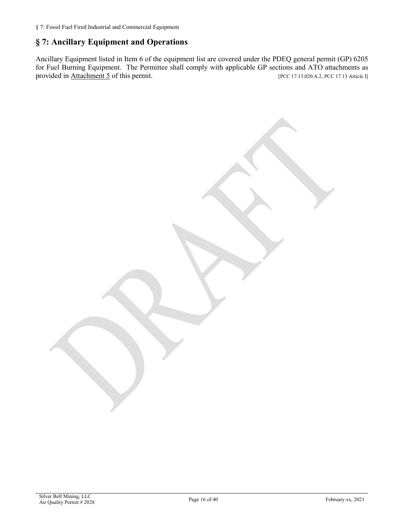## **§ 7: Ancillary Equipment and Operations**

Ancillary Equipment listed in Item 6 of the equipment list are covered under the PDEQ general permit (GP) 6205 for Fuel Burning Equipment. The Permittee shall comply with applicable GP sections and ATO attachments as provided in [Attachment 5](#page-39-0) of this permit. [PCC 17.13.020.A.2, PCC 17.13 Article I]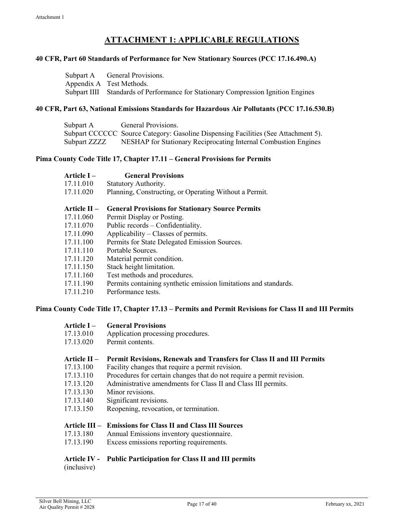## **ATTACHMENT 1: APPLICABLE REGULATIONS**

#### <span id="page-16-0"></span>**40 CFR, Part 60 Standards of Performance for New Stationary Sources (PCC [17.16.490](https://tinyurl.com/y589oj9q).A)**

| Subpart A General Provisions.                                                     |
|-----------------------------------------------------------------------------------|
| Appendix A Test Methods.                                                          |
| Subpart IIII Standards of Performance for Stationary Compression Ignition Engines |

#### **40 CFR, Part 63, National Emissions Standards for Hazardous Air Pollutants [\(PCC 17.16.530.B\)](https://tinyurl.com/y6a8c35o)**

| Subpart A    | General Provisions.                                                                |
|--------------|------------------------------------------------------------------------------------|
|              | Subpart CCCCCC Source Category: Gasoline Dispensing Facilities (See Attachment 5). |
| Subpart ZZZZ | NESHAP for Stationary Reciprocating Internal Combustion Engines                    |

#### **Pima County Code Title 17, Chapter 17.11 – [General Provisions for Permits](https://tinyurl.com/ybffu656)**

| <b>General Provisions</b>                                        |
|------------------------------------------------------------------|
| Statutory Authority.                                             |
| Planning, Constructing, or Operating Without a Permit.           |
| <b>General Provisions for Stationary Source Permits</b>          |
| Permit Display or Posting.                                       |
| Public records – Confidentiality.                                |
| Applicability – Classes of permits.                              |
| Permits for State Delegated Emission Sources.                    |
| Portable Sources.                                                |
| Material permit condition.                                       |
| Stack height limitation.                                         |
| Test methods and procedures.                                     |
| Permits containing synthetic emission limitations and standards. |
| Performance tests.                                               |
|                                                                  |

#### **Pima County Code Title 17, Chapter 17.13 – [Permits and Permit Revisions for Class II and III Permits](https://tinyurl.com/y552e4hl)**

|           | <b>Article I – General Provisions</b> |
|-----------|---------------------------------------|
| 17.13.010 | Application processing procedures.    |
| 17.13.020 | Permit contents.                      |
|           |                                       |

### **[Article II](https://tinyurl.com/yyfeehcr) – Permit Revisions, Renewals and Transfers for Class II and III Permits**

- [17.13.100](https://tinyurl.com/y5ug46gn) Facility changes that require a permit revision.
- [17.13.110](https://tinyurl.com/y5p6yuan) Procedures for certain changes that do not require a permit revision.
- [17.13.120](https://tinyurl.com/y2r9tfg2) Administrative amendments for Class II and Class III permits.
- [17.13.130](https://tinyurl.com/y39z74p2) Minor revisions.
- [17.13.140](https://tinyurl.com/y3ttw8kb) Significant revisions.
- [17.13.150](https://tinyurl.com/y2c32y2e) Reopening, revocation, or termination.

#### **Article III – Emissions for Class II and Class III Sources**

- [17.13.180](https://tinyurl.com/y2zf94nt) Annual Emissions inventory questionnaire.
- [17.13.190](https://tinyurl.com/y39rx3ce) Excess emissions reporting requirements.

#### **[Article](https://tinyurl.com/y3pq36lg) IV - Public Participation for Class II and III permits**

(inclusive)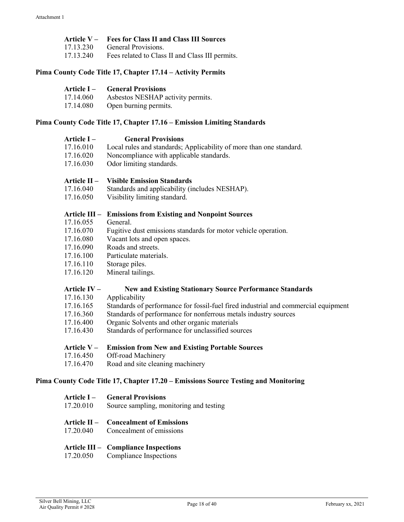|           | Article V – Fees for Class II and Class III Sources |
|-----------|-----------------------------------------------------|
| 17.13.230 | General Provisions.                                 |
| 17.13.240 | Fees related to Class II and Class III permits.     |

## **Pima County Code Title 17, [Chapter 17.14](https://tinyurl.com/y62n49pv) – Activity Permits**

| Article I – | <b>General Provisions</b>         |
|-------------|-----------------------------------|
| 17.14.060   | Asbestos NESHAP activity permits. |
| 17.14.080   | Open burning permits.             |

#### **Pima County Code Title 17, Chapter 17.16 – [Emission Limiting Standards](https://tinyurl.com/y7uokuy8)**

| Article I –    | <b>General Provisions</b>                                                          |
|----------------|------------------------------------------------------------------------------------|
| 17.16.010      | Local rules and standards; Applicability of more than one standard.                |
| 17.16.020      | Noncompliance with applicable standards.                                           |
| 17.16.030      | Odor limiting standards.                                                           |
| Article $II -$ | <b>Visible Emission Standards</b>                                                  |
| 17.16.040      | Standards and applicability (includes NESHAP).                                     |
| 17.16.050      | Visibility limiting standard.                                                      |
| Article III-   | <b>Emissions from Existing and Nonpoint Sources</b>                                |
| 17.16.055      | General.                                                                           |
| 17.16.070      | Fugitive dust emissions standards for motor vehicle operation.                     |
| 17.16.080      | Vacant lots and open spaces.                                                       |
| 17.16.090      | Roads and streets.                                                                 |
| 17.16.100      | Particulate materials.                                                             |
| 17.16.110      | Storage piles.                                                                     |
| 17.16.120      | Mineral tailings.                                                                  |
| Article IV-    | <b>New and Existing Stationary Source Performance Standards</b>                    |
| 17.16.130      | Applicability                                                                      |
| 17.16.165      | Standards of performance for fossil-fuel fired industrial and commercial equipment |
| 17.16.360      | Standards of performance for nonferrous metals industry sources                    |
| 17.16.400      | Organic Solvents and other organic materials                                       |
| 17.16.430      | Standards of performance for unclassified sources                                  |
| Article $V -$  | <b>Emission from New and Existing Portable Sources</b>                             |
| 17.16.450      | Off-road Machinery                                                                 |
| 17.16.470      | Road and site cleaning machinery                                                   |

## **Pima County Code Title 17, Chapter 17.20 – [Emissions Source Testing and Monitoring](https://tinyurl.com/yydozjts)**

| Article I –<br>17.20.010 | <b>General Provisions</b><br>Source sampling, monitoring and testing               |
|--------------------------|------------------------------------------------------------------------------------|
|                          | <b>Article II – Concealment of Emissions</b><br>17.20.040 Concealment of emissions |
|                          | <b>Article III – Compliance Inspections</b>                                        |

17.20.050 Compliance Inspections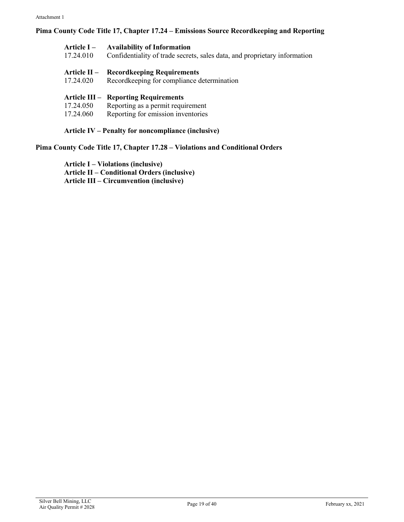### **Pima County Code Title 17, Chapter 17.24 – Emissions Source Recordkeeping and Reporting**

| <b>Article I –</b>  | <b>Availability of Information</b>                                        |
|---------------------|---------------------------------------------------------------------------|
| 17.24.010           | Confidentiality of trade secrets, sales data, and proprietary information |
| <b>Article II –</b> | <b>Recordkeeping Requirements</b>                                         |
| 17.24.020           | Recordkeeping for compliance determination                                |
|                     | <b>Article III – Reporting Requirements</b>                               |
| 17.24.050           | Reporting as a permit requirement                                         |
| 17.24.060           | Reporting for emission inventories                                        |

**Article IV – [Penalty for noncompliance \(inclusive\)](https://tinyurl.com/y5vq2lfw)**

### **[Pima County Code Title 17, Chapter 17.28](https://tinyurl.com/y5wyy8d8) – Violations and Conditional Orders**

**Article I – [Violations \(inclusive\)](https://tinyurl.com/yymv7uva) Article II – Conditional Orders (inclusive) Article III – [Circumvention \(inclusive\)](https://tinyurl.com/y6hecxd6)**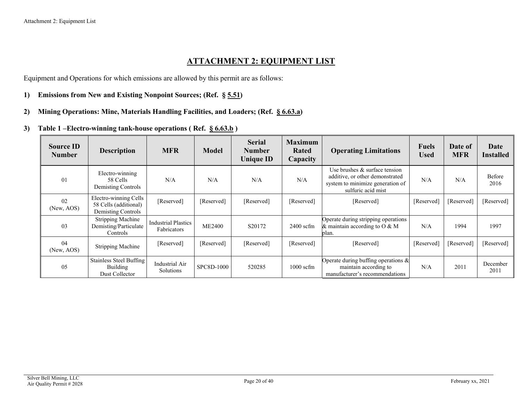## **ATTACHMENT 2: EQUIPMENT LIST**

Equipment and Operations for which emissions are allowed by this permit are as follows:

- **1) Emissions from New and Existing Nonpoint Sources; (Ref. § [5.51\)](#page-10-4)**
- **2) Mining Operations: Mine, Materials Handling Facilities, and Loaders; (Ref. [§ 6.63.a\)](#page-14-1)**
- **3) Table 1 –Electro-winning tank-house operations ( Ref. [§ 6.63.b](#page-14-2) )**

<span id="page-19-2"></span><span id="page-19-1"></span><span id="page-19-0"></span>

| <b>Source ID</b><br><b>Number</b> | <b>Description</b>                                                   | <b>MFR</b>                                       | <b>Model</b>  | <b>Serial</b><br><b>Number</b><br><b>Unique ID</b> | <b>Maximum</b><br>Rated<br>Capacity                                                                                               | <b>Operating Limitations</b>                                                                      |            | Date of<br><b>MFR</b> | Date<br><b>Installed</b> |
|-----------------------------------|----------------------------------------------------------------------|--------------------------------------------------|---------------|----------------------------------------------------|-----------------------------------------------------------------------------------------------------------------------------------|---------------------------------------------------------------------------------------------------|------------|-----------------------|--------------------------|
| 0 <sub>1</sub>                    | Electro-winning<br>58 Cells<br>Demisting Controls                    | N/A                                              | N/A           | N/A                                                | Use brushes & surface tension<br>additive, or other demonstrated<br>N/A<br>system to minimize generation of<br>sulfuric acid mist |                                                                                                   | N/A        | N/A                   | Before<br>2016           |
| 02<br>(New, AOS)                  | Electro-winning Cells<br>58 Cells (additional)<br>Demisting Controls | [Reserved]                                       | [Reserved]    | [Reserved]                                         | [Reserved]                                                                                                                        | [Reserved]                                                                                        | [Reserved] | [Reserved]            | [Reserved]               |
| 03                                | <b>Stripping Machine</b><br>Demisting/Particulate<br>Controls        | <b>Industrial Plastics</b><br><b>Fabricators</b> | <b>ME2400</b> | S20172                                             | $2400$ scfm                                                                                                                       | Operate during stripping operations<br>& maintain according to $O & M$<br>plan.                   | N/A        | 1994                  | 1997                     |
| 04<br>(New, AOS)                  | <b>Stripping Machine</b>                                             | [Reserved]                                       | [Reserved]    | [Reserved]                                         | [Reserved]                                                                                                                        | [Reserved]                                                                                        | [Reserved] | [Reserved]            | [Reserved]               |
| 05                                | Stainless Steel Buffing<br>Building<br>Dust Collector                | <b>Industrial Air</b><br>Solutions               | SPC8D-1000    | 520285                                             | 1000 scfm                                                                                                                         | Operate during buffing operations $\&$<br>maintain according to<br>manufacturer's recommendations | N/A        | 2011                  | December<br>2011         |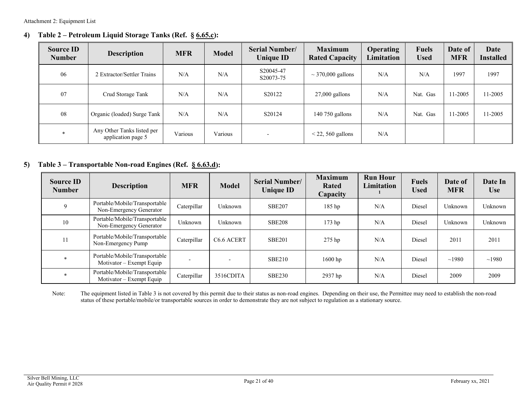## **4) Table 2 – Petroleum Liquid Storage Tanks (Ref. § [6.65.c\)](#page-14-3):**

| <b>Source ID</b><br><b>Number</b> | <b>Description</b>                               | <b>MFR</b> | <b>Model</b> | <b>Serial Number/</b><br><b>Unique ID</b> | <b>Maximum</b><br><b>Rated Capacity</b> | <b>Operating</b><br><b>Limitation</b> | <b>Fuels</b><br><b>Used</b> | Date of<br><b>MFR</b> | Date<br><b>Installed</b> |
|-----------------------------------|--------------------------------------------------|------------|--------------|-------------------------------------------|-----------------------------------------|---------------------------------------|-----------------------------|-----------------------|--------------------------|
| 06                                | 2 Extractor/Settler Trains                       | N/A        | N/A          | S20045-47<br>S20073-75                    | $\sim$ 370,000 gallons                  | N/A                                   | N/A                         | 1997                  | 1997                     |
| 07                                | Crud Storage Tank                                | N/A        | N/A          | S20122                                    | $27,000$ gallons                        | N/A                                   | Nat. Gas                    | 11-2005               | 11-2005                  |
| 08                                | Organic (loaded) Surge Tank                      | N/A        | N/A          | S20124                                    | $140$ 750 gallons                       | N/A                                   | Nat. Gas                    | 11-2005               | 11-2005                  |
| $*$                               | Any Other Tanks listed per<br>application page 5 | Various    | Various      | $\overline{\phantom{a}}$                  | $<$ 22, 560 gallons                     | N/A                                   |                             |                       |                          |

### **5) Table 3 – Transportable Non-road Engines (Ref. [§ 6.63.d\)](#page-14-4):**

| <b>Source ID</b><br><b>Number</b> | <b>Description</b>                                                  | <b>MFR</b>  | <b>Model</b>           | <b>Serial Number/</b><br><b>Unique ID</b> | <b>Maximum</b><br>Rated<br>Capacity | <b>Run Hour</b><br>Limitation | <b>Fuels</b><br><b>Used</b> | Date of<br><b>MFR</b> | Date In<br><b>Use</b> |
|-----------------------------------|---------------------------------------------------------------------|-------------|------------------------|-------------------------------------------|-------------------------------------|-------------------------------|-----------------------------|-----------------------|-----------------------|
| 9                                 | Portable/Mobile/Transportable<br>Non-Emergency Generator            | Caterpillar | Unknown                | <b>SBE207</b>                             | 185 hp                              | N/A                           | Diesel                      | Unknown               | Unknown               |
| 10                                | Portable/Mobile/Transportable<br>Unknown<br>Non-Emergency Generator |             | Unknown                | <b>SBE208</b>                             | $173$ hp                            | N/A                           | Diesel                      | Unknown               | Unknown               |
| 11                                | Portable/Mobile/Transportable<br>Non-Emergency Pump                 | Caterpillar | C <sub>6.6</sub> ACERT | <b>SBE201</b>                             | 275 hp                              | N/A                           | Diesel                      | 2011                  | 2011                  |
|                                   | Portable/Mobile/Transportable<br>$Motivator - Exempt Equip$         |             |                        | <b>SBE210</b>                             | $1600$ hp                           | N/A                           | Diesel                      | ~1980                 | ~1980                 |
|                                   | Portable/Mobile/Transportable<br>Motivator – Exempt Equip           | Caterpillar | 3516CDITA              | <b>SBE230</b>                             | 2937 hp                             | N/A                           | Diesel                      | 2009                  | 2009                  |

Note: The equipment listed in Table 3 is not covered by this permit due to their status as non-road engines. Depending on their use, the Permittee may need to establish the non-road status of these portable/mobile/or transportable sources in order to demonstrate they are not subject to regulation as a stationary source.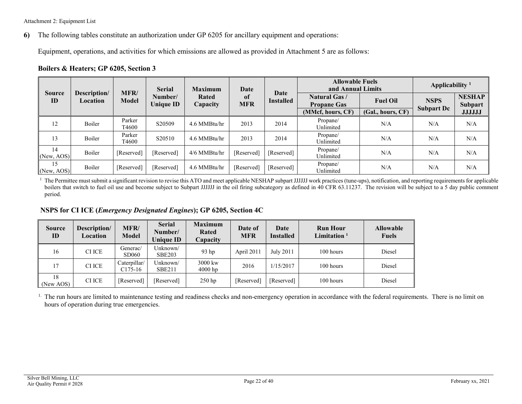**6)** The following tables constitute an authorization under GP 6205 for ancillary equipment and operations:

Equipment, operations, and activities for which emissions are allowed as provided in Attachment 5 are as follows:

#### **Boilers & Heaters; GP 6205, Section 3**

|                     |                          | MFR/            | <b>Serial</b>               | <b>Maximum</b>    | Date              |                   | <b>Allowable Fuels</b><br>and Annual Limits |                   | Applicability <sup>1</sup> |                          |
|---------------------|--------------------------|-----------------|-----------------------------|-------------------|-------------------|-------------------|---------------------------------------------|-------------------|----------------------------|--------------------------|
| <b>Source</b><br>ID | Description/<br>Location | <b>Model</b>    | Number/<br><b>Unique ID</b> | Rated<br>Capacity | -of<br><b>MFR</b> | Date<br>Installed | <b>Natural Gas /</b><br><b>Propane Gas</b>  | <b>Fuel Oil</b>   | <b>NSPS</b>                | <b>NESHAP</b><br>Subpart |
|                     |                          |                 |                             |                   |                   |                   | (MMcf, hours, CF)                           | (Gal., hours, CF) | <b>Subpart Dc</b>          | <b>JJJJJJ</b>            |
| 12                  | Boiler                   | Parker<br>T4600 | S20509                      | 4.6 MMBtu/hr      | 2013              | 2014              | Propane/<br>Unlimited                       | N/A               | N/A                        | N/A                      |
| 13                  | Boiler                   | Parker<br>T4600 | S20510                      | 4.6 MMBtu/hr      | 2013              | 2014              | Propane/<br>Unlimited                       | N/A               | N/A                        | N/A                      |
| 14<br>(New, AOS)    | Boiler                   | [Reserved]      | [Reserved]                  | 4/6 MMBtu/hr      | [Reserved]        | [Reserved]        | Propane/<br>Unlimited                       | N/A               | N/A                        | N/A                      |
| 15<br>(New, AOS)    | Boiler                   | [Reserved]      | [Reserved]                  | 4.6 MMBtu/hr      | [Reserved]        | [Reserved]        | Propane/<br>Unlimited                       | N/A               | N/A                        | N/A                      |

<span id="page-21-0"></span><sup>1</sup> The Permittee must submit a significant revision to revise this ATO and meet applicable NESHAP subpart JJJJJJ work practices (tune-ups), notification, and reporting requirements for applicable boilers that switch to fuel oil use and become subject to Subpart JJJJJJ in the oil firing subcategory as defined in 40 CFR 63.11237. The revision will be subject to a 5 day public comment period.

**NSPS for CI ICE (***Emergency Designated Engines***); GP 6205, Section 4C** 

| <b>Source</b><br>ID | Description/<br>Location | MFR/<br><b>Model</b>      | <b>Serial</b><br>Number/<br><b>Unique ID</b> | <b>Maximum</b><br>Rated<br>Capacity | Date of<br><b>MFR</b> | Date<br><b>Installed</b> | <b>Run Hour</b><br>Limitation $1$ | <b>Allowable</b><br><b>Fuels</b> |
|---------------------|--------------------------|---------------------------|----------------------------------------------|-------------------------------------|-----------------------|--------------------------|-----------------------------------|----------------------------------|
| 16                  | CI ICE                   | Generac/<br>SD060         | Unknown/<br><b>SBE203</b>                    | 93 <sub>hp</sub>                    | April 2011            | July 2011                | 100 hours                         | Diesel                           |
| 17                  | CI ICE                   | Caterpillar/<br>$C175-16$ | Unknown/<br><b>SBE211</b>                    | 3000 kw<br>$4000$ hp                | 2016                  | 1/15/2017                | 100 hours                         | Diesel                           |
| 18<br>(New AOS)     | CI ICE                   | [Reserved]                | [Reserved]                                   | $250$ hp                            | [Reserved]            | [Reserved]               | 100 hours                         | Diesel                           |

<sup>1.</sup> The run hours are limited to maintenance testing and readiness checks and non-emergency operation in accordance with the federal requirements. There is no limit on hours of operation during true emergencies.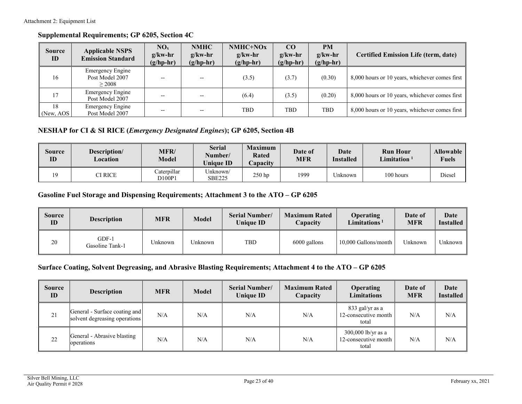#### **Supplemental Requirements; GP 6205, Section 4C**

| <b>Source</b><br>ID | <b>Applicable NSPS</b><br><b>Emission Standard</b>   | $NO_{x}$<br>$g/kw-hr$<br>$(g/hp-hr)$ | <b>NMHC</b><br>$g/kw-hr$<br>$(g/hp-hr)$ | NMHC+NOx<br>$g/kw-hr$<br>$(g/hp-hr)$ | CO <sub>1</sub><br>$g/kw-hr$<br>$(g/hp-hr)$ | <b>PM</b><br>$g/kw-hr$<br>$(g/hp-hr)$ | <b>Certified Emission Life (term, date)</b>    |
|---------------------|------------------------------------------------------|--------------------------------------|-----------------------------------------|--------------------------------------|---------------------------------------------|---------------------------------------|------------------------------------------------|
| 16                  | <b>Emergency Engine</b><br>Post Model 2007<br>> 2008 |                                      |                                         | (3.5)                                | (3.7)                                       | (0.30)                                | 8,000 hours or 10 years, whichever comes first |
| 17                  | <b>Emergency Engine</b><br>Post Model 2007           |                                      | $- -$                                   | (6.4)                                | (3.5)                                       | (0.20)                                | 8,000 hours or 10 years, whichever comes first |
| 18<br>(New, AOS)    | <b>Emergency Engine</b><br>Post Model 2007           |                                      | $- -$                                   | <b>TBD</b>                           | TBD                                         | <b>TBD</b>                            | 8,000 hours or 10 years, whichever comes first |

#### **NESHAP for CI & SI RICE (***Emergency Designated Engines***); GP 6205, Section 4B**

| Source<br>ID | Description/<br>Location | <b>MFR/</b><br>Model | <b>Serial</b><br>Number/<br><b>Unique ID</b> | <b>Maximum</b><br>Rated<br>Capacity | Date of<br><b>MFR</b> | <b>Date</b><br><b>Installed</b> | <b>Run Hour</b><br>Limitation | <b>Allowable</b><br><b>Fuels</b> |
|--------------|--------------------------|----------------------|----------------------------------------------|-------------------------------------|-----------------------|---------------------------------|-------------------------------|----------------------------------|
| 10           | CI RICE                  | Caterpillar<br>D100P | Unknown/<br><b>SBE225</b>                    | $250$ hp                            | 1999                  | ∪nknown                         | 100 hours                     | Diesel                           |

### **Gasoline Fuel Storage and Dispensing Requirements; Attachment 3 to the ATO – GP 6205**

| Source<br>ID | <b>Description</b>         | <b>MFR</b> | <b>Model</b> | <b>Serial Number/</b><br><b>Unique ID</b> | <b>Maximum Rated</b><br><b>Capacity</b> | <b>Operating</b><br>Limitations <sup>1</sup> | Date of<br><b>MFR</b> | Date<br><b>Installed</b> |
|--------------|----------------------------|------------|--------------|-------------------------------------------|-----------------------------------------|----------------------------------------------|-----------------------|--------------------------|
| 20           | $GDF-1$<br>Gasoline Tank-1 | Unknown    | Unknown      | TBD                                       | 6000 gallons                            | 10,000 Gallons/month                         | Unknown               | Unknown                  |

#### **Surface Coating, Solvent Degreasing, and Abrasive Blasting Requirements; Attachment 4 to the ATO – GP 6205**

| <b>Source</b><br>ID | <b>Description</b>                                             | <b>MFR</b> | <b>Model</b> | <b>Serial Number/</b><br><b>Unique ID</b> | <b>Maximum Rated</b><br>Capacity | <b>Operating</b><br><b>Limitations</b>              | Date of<br><b>MFR</b> | Date<br><b>Installed</b> |
|---------------------|----------------------------------------------------------------|------------|--------------|-------------------------------------------|----------------------------------|-----------------------------------------------------|-----------------------|--------------------------|
| 21                  | General - Surface coating and<br>solvent degreasing operations | N/A        | N/A          | N/A                                       | N/A                              | 833 gal/yr as a<br>12-consecutive month<br>total    | N/A                   | N/A                      |
| 22                  | General - Abrasive blasting<br>operations                      | N/A        | N/A          | N/A                                       | N/A                              | 300,000 lb/yr as a<br>12-consecutive month<br>total | N/A                   | N/A                      |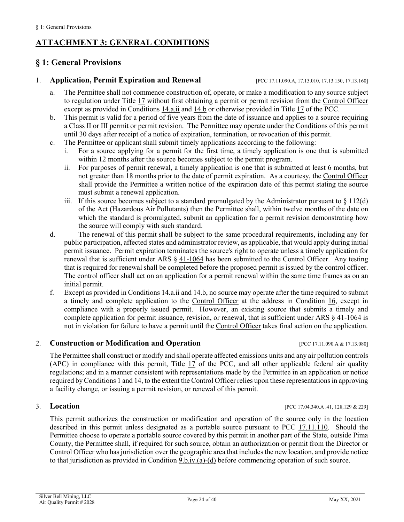## <span id="page-23-1"></span>**ATTACHMENT 3: GENERAL CONDITIONS**

## <span id="page-23-0"></span>**§ 1: General Provisions**

#### <span id="page-23-2"></span>1. **Application, Permit Expiration and Renewal** [\[PCC 17.11.090.A,](https://tinyurl.com/yat2yhct) [17.13.010,](https://tinyurl.com/ya23abh3) [17.13.150,](https://tinyurl.com/y2c32y2e) [17.13.160\]](https://tinyurl.com/y2qcdy68)

- a. The Permittee shall not commence construction of, operate, or make a modification to any source subject to regulation under [Title 17](https://tinyurl.com/y7xc7jvc) without first obtaining a permit or permit revision from the [Control Officer](#page-31-1) except as provided i[n Conditions 14.a.ii](#page-28-5) an[d 14.b](#page-28-6) or otherwise provided in [Title 17](https://tinyurl.com/y7xc7jvc) of the PCC.
- b. This permit is valid for a period of five years from the date of issuance and applies to a source requiring a Class II or III permit or permit revision. The Permittee may operate under the Conditions of this permit until 30 days after receipt of a notice of expiration, termination, or revocation of this permit.
- c. The Permittee or applicant shall submit timely applications according to the following:
	- i. For a source applying for a permit for the first time, a timely application is one that is submitted within 12 months after the source becomes subject to the permit program.
	- ii. For purposes of permit renewal, a timely application is one that is submitted at least 6 months, but not greater than 18 months prior to the date of permit expiration. As a courtesy, the [Control Officer](#page-31-1) shall provide the Permittee a written notice of the expiration date of this permit stating the source must submit a renewal application.
	- iii. If this source becomes subject to a standard promulgated by the [Administrator](#page-31-5) pursuant to  $\S 112(d)$  $\S 112(d)$ of the Act (Hazardous Air Pollutants) then the Permittee shall, within twelve months of the date on which the standard is promulgated, submit an application for a permit revision demonstrating how the source will comply with such standard.
- <span id="page-23-3"></span>d. The renewal of this permit shall be subject to the same procedural requirements, including any for public participation, affected states and administrator review, as applicable, that would apply during initial permit issuance. Permit expiration terminates the source's right to operate unless a timely application for renewal that is sufficient under [ARS § 41-1064](https://www.azleg.gov/viewdocument/?docName=https://www.azleg.gov/ars/41/01064.htm) has been submitted to the Control Officer. Any testing that is required for renewal shall be completed before the proposed permit is issued by the control officer. The control officer shall act on an application for a permit renewal within the same time frames as on an initial permit.
- f. Except as provided in Conditions  $14.\overline{a}.\overline{ii}$  and  $14.\overline{b}$ , no source may operate after the time required to submit a timely and complete application to the [Control Officer](#page-31-1) at the address in Condition 16, except in compliance with a properly issued permit. However, an existing source that submits a timely and complete application for permit issuance, revision, or renewal, that is sufficient under [ARS § 41-1064](https://www.azleg.gov/viewdocument/?docName=https://www.azleg.gov/ars/41/01064.htm) is not in violation for failure to have a permit until the [Control Officer](#page-31-1) takes final action on the application.

#### 2. **Construction or Modification and Operation** [\[PCC 17.11.090.A](https://tinyurl.com/yat2yhct) [& 17.13.080\]](https://tinyurl.com/ycvo4no2)

The Permittee shall construct or modify and shall operate affected emissions units and an[y air pollution](#page-31-2) controls (APC) in compliance with this permit, Title  $17$  of the PCC, and all other applicable federal air quality regulations; and in a manner consistent with representations made by the Permittee in an application or notice required b[y Conditions 1](#page-23-2) and [14,](#page-28-0) to the extent the [Control Officer](#page-31-1) relies upon these representations in approving a facility change, or issuing a permit revision, or renewal of this permit.

3. **Location** [\[PCC 17.04.340.A .41, 128,129 & 229\]](https://tinyurl.com/y9gh9owd)

This permit authorizes the construction or modification and operation of the source only in the location described in this permit unless designated as a portable source pursuant to [PCC 17.11.110.](https://tinyurl.com/y2sqmzlf) Should the Permittee choose to operate a portable source covered by this permit in another part of the State, outside Pima County, the Permittee shall, if required for such source, obtain an authorization or permit from the [Director](#page-31-4) or Control Officer who has jurisdiction over the geographic area that includes the new location, and provide notice to that jurisdiction as provided in [Condition 9.b.iv.\(a\)-\(d\)](#page-26-2) before commencing operation of such source.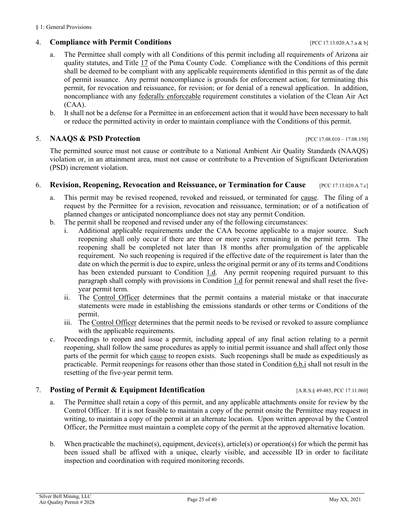#### 4. **Compliance with Permit Conditions** [PCC [17.13.020.A.7.a & b\]](https://tinyurl.com/y2whqkle)

- a. The Permittee shall comply with all Conditions of this permit including all requirements of Arizona air quality statutes, and [Title 17](https://tinyurl.com/y7xc7jvc) of the Pima County Code. Compliance with the Conditions of this permit shall be deemed to be compliant with any applicable requirements identified in this permit as of the date of permit issuance. Any permit noncompliance is grounds for enforcement action; for terminating this permit, for revocation and reissuance, for revision; or for denial of a renewal application. In addition, noncompliance with any [federally enforceable](#page-34-1) requirement constitutes a violation of the Clean Air Act (CAA).
- b. It shall not be a defense for a Permittee in an enforcement action that it would have been necessary to halt or reduce the permitted activity in order to maintain compliance with the Conditions of this permit.

#### <span id="page-24-3"></span>5. **NAAQS & PSD Protection** [\[PCC 17.08.010 –](https://tinyurl.com/y8eqbkct) 17.08.150]

The permitted source must not cause or contribute to a National Ambient Air Quality Standards (NAAQS) violation or, in an attainment area, must not cause or contribute to a Prevention of Significant Deterioration (PSD) increment violation.

#### <span id="page-24-1"></span>6. **Revision, Reopening, Revocation and Reissuance, or Termination for Cause** [\[PCC 17.13.020.A.7.c\]](https://tinyurl.com/y2whqkle)

- a. This permit may be revised reopened, revoked and reissued, or terminated for [cause.](#page-31-6) The filing of a request by the Permittee for a revision, revocation and reissuance, termination; or of a notification of planned changes or anticipated noncompliance does not stay any permit Condition.
- <span id="page-24-4"></span>b. The permit shall be reopened and revised under any of the following circumstances:
	- i. Additional applicable requirements under the CAA become applicable to a major source. Such reopening shall only occur if there are three or more years remaining in the permit term. The reopening shall be completed not later than 18 months after promulgation of the applicable requirement. No such reopening is required if the effective date of the requirement is later than the date on which the permit is due to expire, unless the original permit or any of its terms and Conditions has been extended pursuant to [Condition 1.d.](#page-23-3) Any permit reopening required pursuant to this paragraph shall comply with provisions in [Condition 1.d](#page-23-3) for permit renewal and shall reset the fiveyear permit term.
	- ii. The [Control Officer](#page-31-1) determines that the permit contains a material mistake or that inaccurate statements were made in establishing the emissions standards or other terms or Conditions of the permit.
	- iii. The [Control Officer](#page-31-1) determines that the permit needs to be revised or revoked to assure compliance with the applicable requirements.
- c. Proceedings to reopen and issue a permit, including appeal of any final action relating to a permit reopening, shall follow the same procedures as apply to initial permit issuance and shall affect only those parts of the permit for which [cause](#page-31-6) to reopen exists. Such reopenings shall be made as expeditiously as practicable. Permit reopenings for reasons other than those stated in [Condition 6.b.i](#page-24-4) shall not result in the resetting of the five-year permit term.

#### <span id="page-24-2"></span>7. **Posting of Permit & Equipment Identification** [\[A.R.S.§](https://tinyurl.com/yxjjen9g) 49-485[, PCC 17.11.060\]](https://tinyurl.com/y4bwekqp)

- a. The Permittee shall retain a copy of this permit, and any applicable attachments onsite for review by the Control Officer. If it is not feasible to maintain a copy of the permit onsite the Permittee may request in writing, to maintain a copy of the permit at an alternate location. Upon written approval by the Control Officer, the Permittee must maintain a complete copy of the permit at the approved alternative location.
- <span id="page-24-0"></span>b. When practicable the machine(s), equipment, device(s), article(s) or operation(s) for which the permit has been issued shall be affixed with a unique, clearly visible, and accessible ID in order to facilitate inspection and coordination with required monitoring records.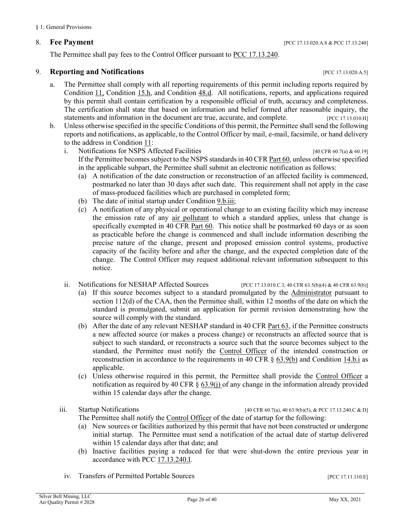The Permittee shall pay fees to the Control Officer pursuant to [PCC 17.13.240.](https://tinyurl.com/y4xqq552)

#### <span id="page-25-2"></span><span id="page-25-0"></span>9. **Reporting and Notifications** [\[PCC 17.13.020.A.5\]](https://tinyurl.com/y2whqkle)

- a. The Permittee shall comply with all reporting requirements of this permit including reports required by [Condition](#page-26-0) 11, [Condition 15.h,](#page-30-2) and [Condition](#page-9-0) 48.d. All notifications, reports, and applications required by this permit shall contain certification by a responsible official of truth, accuracy and completeness. The certification shall state that based on information and belief formed after reasonable inquiry, the statements and information in the document are true, accurate, and complete. [\[PCC 17.13.010.H\]](https://tinyurl.com/ya23abh3)
- b. Unless otherwise specified in the specific Conditions of this permit, the Permittee shall send the following reports and notifications, as applicable, to the Control Officer by mail, e-mail, facsimile, or hand delivery to the address i[n Condition](#page-27-0) 11:
	- i. Notifications for NSPS Affected Facilities [\[40 CFR 60.7\(a\)](https://tinyurl.com/40-CFR-60-7) [& 60.19\]](https://tinyurl.com/y6ap5u7h) If the Permittee becomes subject to the NSPS standards i[n 40 CFR Part 60,](https://tinyurl.com/40-CFR-60-INCL) unless otherwise specified in the applicable subpart, the Permittee shall submit an electronic notification as follows:
		- (a) A notification of the date construction or reconstruction of an affected facility is commenced, postmarked no later than 30 days after such date. This requirement shall not apply in the case of mass-produced facilities which are purchased in completed form;
		- (b) The date of initial startup under [Condition 9.b.iii;](#page-25-1)
		- (c) A notification of any physical or operational change to an existing facility which may increase the emission rate of any [air pollutant](#page-31-6) to which a standard applies, unless that change is specifically exempted in [40 CFR Part 60.](https://tinyurl.com/40-CFR-60-INCL) This notice shall be postmarked 60 days or as soon as practicable before the change is commenced and shall include information describing the precise nature of the change, present and proposed emission control systems, productive capacity of the facility before and after the change, and the expected completion date of the change. The Control Officer may request additional relevant information subsequent to this notice.
	- ii. Notifications for NESHAP Affected Sources [\[PCC 17.13.010.C.3,](https://tinyurl.com/ya23abh3) [40 CFR 63.5\(b\)\(4\)](https://tinyurl.com/yxbe6gc9) [& 40 CFR 63.9\(b\)\]](https://tinyurl.com/40-CFR-63-9)
		- (a) If this source becomes subject to a standard promulgated by the [Administrator](#page-31-5) pursuant to section 112(d) of the CAA, then the Permittee shall, within 12 months of the date on which the standard is promulgated, submit an application for permit revision demonstrating how the source will comply with the standard.
		- (b) After the date of any relevant NESHAP standard in [40 CFR Part 63,](https://tinyurl.com/40-CFR-Part-63) if the Permittee constructs a new affected source (or makes a process change) or reconstructs an affected source that is subject to such standard, or reconstructs a source such that the source becomes subject to the standard, the Permittee must notify the [Control Officer](#page-31-1) of the intended construction or reconstruction in accordance to the requirements in [40 CFR § 63.9\(b\)](https://tinyurl.com/40-CFR-63-9) and [Condition 14.b.i](#page-28-7) as applicable.
		- (c) Unless otherwise required in this permit, the Permittee shall provide the [Control Officer](#page-31-1) a notification as required by 40 CFR  $\S$  63.9(j) of any change in the information already provided within 15 calendar days after the change.

<span id="page-25-1"></span>

iii. Startup Notifications [\[40 CFR 60.7\(a\),](https://tinyurl.com/40-CFR-60-7) [40 63.9\(b\)\(5\),](https://tinyurl.com/40-CFR-63-9) & [PCC 17.13.240.C & D\]](https://tinyurl.com/y4xqq552)

- The Permittee shall notify the [Control Officer](#page-31-1) of the date of startup for the following:
- (a) New sources or facilities authorized by this permit that have not been constructed or undergone initial startup. The Permittee must send a notification of the actual date of startup delivered within 15 calendar days after that date; and
- (b) Inactive facilities paying a reduced fee that were shut-down the entire previous year in accordance with [PCC 17.13.240.I.](https://tinyurl.com/y4xqq552)
- iv. Transfers of Permitted Portable Sources [\[PCC 17.11.110.E\]](https://tinyurl.com/y2sqmzlf)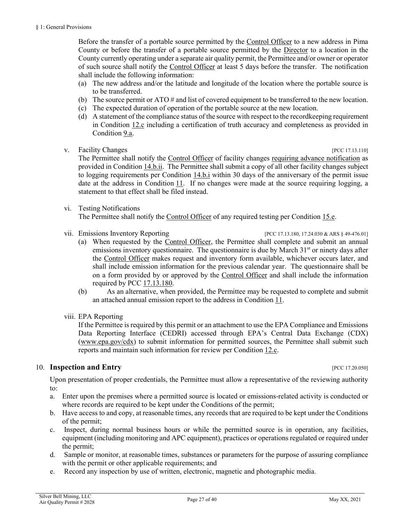Before the transfer of a portable source permitted by the [Control Officer](#page-31-1) to a new address in Pima County or before the transfer of a portable source permitted by the [Director](#page-31-4) to a location in the County currently operating under a separate air quality permit, the Permittee and/or owner or operator of such source shall notify the [Control Officer](#page-31-1) at least 5 days before the transfer. The notification shall include the following information:

- <span id="page-26-2"></span>(a) The new address and/or the latitude and longitude of the location where the portable source is to be transferred.
- (b) The source permit or ATO # and list of covered equipment to be transferred to the new location.
- (c) The expected duration of operation of the portable source at the new location.
- (d) A statement of the compliance status of the source with respect to the recordkeeping requirement in [Condition 12.c](#page-27-2) including a certification of truth accuracy and completeness as provided in [Condition](#page-25-2) 9.a.
- <span id="page-26-1"></span>v. Facility Changes **Exercífical** Property and the set of the set of the set of the set of the set of the set of the set of the set of the set of the set of the set of the set of the set of the set of the set of the set of

The Permittee shall notify the [Control Officer](#page-31-1) of facility changes [requiring advance notification](#page-33-0) as provided i[n Condition 14.b.ii.](#page-28-4) The Permittee shall submit a copy of all other facility changes subject to logging requirements per [Condition 14.b.i](#page-28-7) within 30 days of the anniversary of the permit issue date at the address in [Condition](#page-27-0) 11. If no changes were made at the source requiring logging, a

vi. Testing Notifications

statement to that effect shall be filed instead.

The Permittee shall notify the [Control Officer](#page-31-1) of any required testing per [Condition 15.e.](#page-29-0)

- vii. Emissions Inventory Reporting [PC[C 17.13.180,](https://tinyurl.com/y2zf94nt) [17.24.030](https://tinyurl.com/yxmajjn7) & ARS [§ 49-476.01\]](https://tinyurl.com/yxkstqch)
	- (a) When requested by the [Control Officer,](#page-31-1) the Permittee shall complete and submit an annual emissions inventory questionnaire. The questionnaire is due by March 31<sup>st</sup> or ninety days after the [Control Officer](#page-31-1) makes request and inventory form available, whichever occurs later, and shall include emission information for the previous calendar year. The questionnaire shall be on a form provided by or approved by the [Control Officer](#page-31-1) and shall include the information required by [PCC 17.13.180.](https://tinyurl.com/y2zf94nt)
	- (b) As an alternative, when provided, the Permittee may be requested to complete and submit an attached annual emission report to the address in [Condition](#page-27-0)  $11$ .
- viii. EPA Reporting

If the Permittee is required by this permit or an attachment to use the EPA Compliance and Emissions Data Reporting Interface (CEDRI) accessed through EPA's Central Data Exchange (CDX) [\(www.epa.gov/cdx\)](http://www.epa.gov/cdx) to submit information for permitted sources, the Permittee shall submit such reports and maintain such information for review per [Condition 12.c.](#page-27-2)

#### 10. **Inspection and Entry Example 20. 20.050 EXAMPLE 20.050 PCC 17.20.050**

Upon presentation of proper credentials, the Permittee must allow a representative of the reviewing authority to:

- a. Enter upon the premises where a permitted source is located or emissions-related activity is conducted or where records are required to be kept under the Conditions of the permit;
- b. Have access to and copy, at reasonable times, any records that are required to be kept under the Conditions of the permit;
- c. Inspect, during normal business hours or while the permitted source is in operation, any facilities, equipment (including monitoring and APC equipment), practices or operations regulated or required under the permit;
- d. Sample or monitor, at reasonable times, substances or parameters for the purpose of assuring compliance with the permit or other applicable requirements; and
- <span id="page-26-0"></span>e. Record any inspection by use of written, electronic, magnetic and photographic media.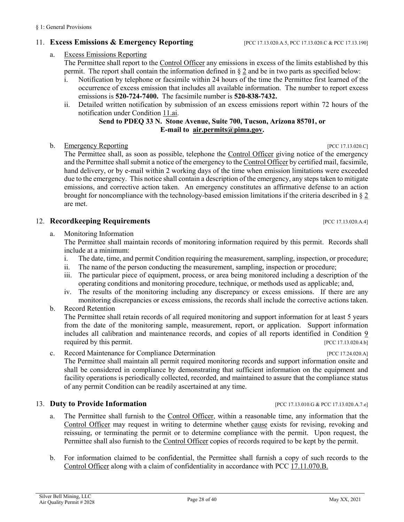#### <span id="page-27-5"></span>11. **Excess Emissions & Emergency Reporting** [PCC [17.13.020.A.5,](https://tinyurl.com/y2whqkle) PC[C 17.13.020.C](https://tinyurl.com/y2whqkle) & PC[C 17.13.190\]](https://tinyurl.com/y39rx3ce)

#### <span id="page-27-3"></span>a. [Excess Emissions Reporting](#page-32-0)

The Permittee shall report to the [Control Officer](#page-31-1) any emissions in excess of the limits established by this permit. The report shall contain the information defined in [§](#page-32-0) 2 and be in two parts as specified below:

- i. Notification by telephone or facsimile within 24 hours of the time the Permittee first learned of the occurrence of excess emission that includes all available information. The number to report excess emissions is **520-724-7400.** The facsimile number is **520-838-7432.**
- ii. Detailed written notification by submission of an excess emissions report within 72 hours of the notification under [Condition 11.ai.](#page-27-3)

#### **Send to PDEQ 33 N. Stone Avenue, Suite 700, Tucson, Arizona 85701, or E-mail to [air.permits@pima.gov](mailto:air.permits@pima.gov).**

#### <span id="page-27-4"></span><span id="page-27-0"></span>b. [Emergency Reporting](#page-32-1) [\[PCC 17.13.020.C\]](https://tinyurl.com/y2whqkle)

The Permittee shall, as soon as possible, telephone the [Control Officer](#page-31-1) giving notice of the emergency and the Permittee shall submit a notice of the emergency to th[e Control Officer](#page-31-1) by certified mail, facsimile, hand delivery, or by e-mail within 2 working days of the time when emission limitations were exceeded due to the emergency. This notice shall contain a description of the emergency, any steps taken to mitigate emissions, and corrective action taken. An emergency constitutes an affirmative defense to an action brought for noncompliance with the technology-based emission limitations if the criteria described in [§](#page-32-1) 2 are met.

#### <span id="page-27-1"></span>12. **Recordkeeping Requirements** [\[PCC 17.13.020.A.4\]](https://tinyurl.com/y2whqkle)

a. Monitoring Information

The Permittee shall maintain records of monitoring information required by this permit. Records shall include at a minimum:

- i. The date, time, and permit Condition requiring the measurement, sampling, inspection, or procedure;
- ii. The name of the person conducting the measurement, sampling, inspection or procedure;
- iii. The particular piece of equipment, process, or area being monitored including a description of the operating conditions and monitoring procedure, technique, or methods used as applicable; and,
- iv. The results of the monitoring including any discrepancy or excess emissions. If there are any monitoring discrepancies or excess emissions, the records shall include the corrective actions taken.
- b. Record Retention

The Permittee shall retain records of all required monitoring and support information for at least 5 years from the date of the monitoring sample, measurement, report, or application. Support information includes all calibration and maintenance records, and copies of all reports identified in [Condition 9](#page-25-0) required by this permit. [\[PCC 17.13.020.4.b\]](https://tinyurl.com/y2whqkle)

<span id="page-27-2"></span>c. Record Maintenance for Compliance Determination [\[PCC 17.24.020.A\]](https://tinyurl.com/y62zwv83) The Permittee shall maintain all permit required monitoring records and support information onsite and shall be considered in compliance by demonstrating that sufficient information on the equipment and facility operations is periodically collected, recorded, and maintained to assure that the compliance status of any permit Condition can be readily ascertained at any time.

#### 13. **Duty to Provide Information 13. POINT: PCC [17.13.010.G](https://tinyurl.com/ya23abh3) & PCC 17.13.020.A.7.e**]

- a. The Permittee shall furnish to the [Control Officer,](#page-31-1) within a reasonable time, any information that the [Control Officer](#page-31-1) may request in writing to determine whether [cause](#page-31-6) exists for revising, revoking and reissuing, or terminating the permit or to determine compliance with the permit. Upon request, the Permittee shall also furnish to the [Control Officer](#page-31-1) copies of records required to be kept by the permit.
- b. For information claimed to be confidential, the Permittee shall furnish a copy of such records to the [Control Officer](#page-31-1) along with a claim of confidentiality in accordance with [PCC 17.11.070.B.](https://tinyurl.com/yxhtkkew)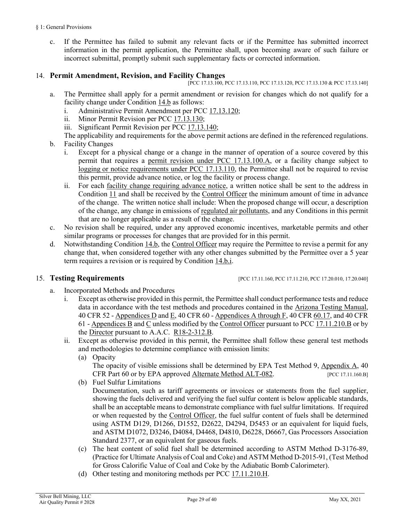c. If the Permittee has failed to submit any relevant facts or if the Permittee has submitted incorrect information in the permit application, the Permittee shall, upon becoming aware of such failure or incorrect submittal, promptly submit such supplementary facts or corrected information.

#### <span id="page-28-0"></span>14. **Permit Amendment, Revision, and Facility Changes**

[PC[C 17.13.100,](https://tinyurl.com/y5ug46gn) PCC [17.13.110,](https://tinyurl.com/y5p6yuan) PCC [17.13.120,](https://tinyurl.com/y2r9tfg2) PC[C 17.13.130](https://tinyurl.com/y39z74p2) & PC[C 17.13.140\]](https://tinyurl.com/y3ttw8kb)

- a. The Permittee shall apply for a permit amendment or revision for changes which do not qualify for a facility change under [Condition 14.b](#page-28-6) as follows:
	- i. Administrative Permit Amendment per [PCC 17.13.120;](https://tinyurl.com/y2r9tfg2)
	- ii. Minor Permit Revision per [PCC 17.13.130;](https://tinyurl.com/y39z74p2)
	- iii. Significant Permit Revision per [PCC 17.13.140;](https://tinyurl.com/y3ttw8kb)

<span id="page-28-5"></span><span id="page-28-3"></span>The applicability and requirements for the above permit actions are defined in the referenced regulations.

- <span id="page-28-7"></span><span id="page-28-6"></span><span id="page-28-4"></span>b. Facility Changes
	- i. Except for a physical change or a change in the manner of operation of a source covered by this permit that requires a [permit revision under PCC 17.13.100.A,](#page-32-2) or a facility change subject to logging [or notice requirements under PCC 17.13.110,](#page-33-1) the Permittee shall not be required to revise this permit, provide advance notice, or log the facility or process change.
	- ii. For each [facility change requiring advance notice,](#page-33-0) a written notice shall be sent to the address in [Condition](#page-27-0) 11 and shall be received by the [Control Officer](#page-31-1) the minimum amount of time in advance of the change. The written notice shall include: When the proposed change will occur, a description of the change, any change in emissions of [regulated air pollutants,](#page-36-0) and any Conditions in this permit that are no longer applicable as a result of the change.
- <span id="page-28-2"></span>c. No revision shall be required, under any approved economic incentives, marketable permits and other similar programs or processes for changes that are provided for in this permit.
- d. Notwithstanding [Condition 14.b,](#page-28-6) the [Control Officer](#page-31-1) may require the Permittee to revise a permit for any change that, when considered together with any other changes submitted by the Permittee over a 5 year term requires a revision or is required by [Condition 14.b.i.](#page-32-2)

<span id="page-28-8"></span>15. **Testing Requirements** [PC[C 17.11.160,](https://tinyurl.com/y53qjcmd) PC[C 17.11.210,](https://tinyurl.com/y7ou53b8) PC[C 17.20.010,](https://tinyurl.com/yxphefja) [17.20.040\]](https://tinyurl.com/y5pqwkg8)

- a. Incorporated Methods and Procedures
	- Except as otherwise provided in this permit, the Permittee shall conduct performance tests and reduce data in accordance with the test methods and procedures contained in the [Arizona Testing Manual,](https://legacy.azdeq.gov/environ/air/compliance/download/manual.pdf)  40 CFR 52 - Appendices  $D$  and  $E$ , 40 CFR 60 - [Appendices A through F,](https://tinyurl.com/40-CFR-60-APPENDICES) [40 CFR 60.17,](https://tinyurl.com/y4b3c3yn) and 40 CFR 61 - [Appendices B](https://tinyurl.com/40-CFR-61-Appendix-B) an[d C](https://tinyurl.com/40-CFR-Part-61-Appendix-C) unless modified by the [Control Officer](#page-31-1) pursuant to [PCC 17.11.210.B](https://tinyurl.com/y7ou53b8) or by the [Director](#page-31-4) pursuant to A.A.C. [R18-2-312.B.](https://tinyurl.com/R18-2-00-x)
	- ii. Except as otherwise provided in this permit, the Permittee shall follow these general test methods and methodologies to determine compliance with emission limits:
		- (a) Opacity

<span id="page-28-9"></span><span id="page-28-1"></span>The opacity of visible emissions shall be determined by EPA Test Method 9,  $\Delta$ ppendix  $\Delta$ , 40 [CFR Part 60](https://tinyurl.com/40-CFR-60-APPENDICES) or by EPA approved [Alternate Method ALT-082.](https://www3.epa.gov/ttn/emc/approalt/ALT082.pdf) [\[PCC 17.11.160.B\]](https://tinyurl.com/y53qjcmd)

- (b) Fuel Sulfur Limitations Documentation, such as tariff agreements or invoices or statements from the fuel supplier, showing the fuels delivered and verifying the fuel sulfur content is below applicable standards, shall be an acceptable means to demonstrate compliance with fuel sulfur limitations. If required or when requested by the [Control Officer,](#page-31-1) the fuel sulfur content of fuels shall be determined using ASTM D129, D1266, D1552, D2622, D4294, D5453 or an equivalent for liquid fuels,
- Standard 2377, or an equivalent for gaseous fuels. (c) The heat content of solid fuel shall be determined according to ASTM Method D-3176-89, (Practice for Ultimate Analysis of Coal and Coke) and ASTM Method D-2015-91, (Test Method for Gross Calorific Value of Coal and Coke by the Adiabatic Bomb Calorimeter).

and ASTM D1072, D3246, D4084, D4468, D4810, D6228, D6667, Gas Processors Association

(d) Other testing and monitoring methods per PCC [17.11.210.H.](https://tinyurl.com/y7ou53b8)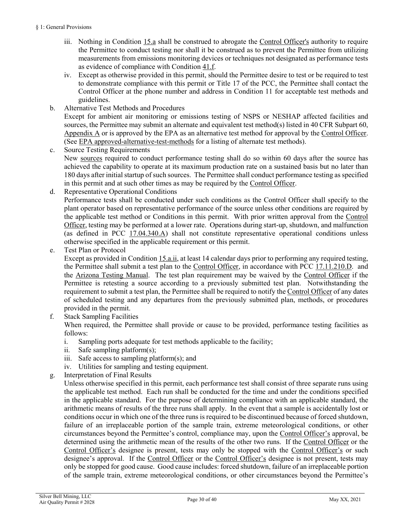- iii. Nothing in [Condition 15.a](#page-28-8) shall be construed to abrogate the [Control Officer's](#page-31-1) authority to require the Permittee to conduct testing nor shall it be construed as to prevent the Permittee from utilizing measurements from emissions monitoring devices or techniques not designated as performance tests as evidence of compliance with [Condition 41.f.](#page-5-2)
- iv. Except as otherwise provided in this permit, should the Permittee desire to test or be required to test to demonstrate compliance with this permit or Title 17 of the PCC, the Permittee shall contact the Control Officer at the phone number and address in Condition 11 for acceptable test methods and guidelines.
- b. Alternative Test Methods and Procedures

Except for ambient air monitoring or emissions testing of NSPS or NESHAP affected facilities and sources, the Permittee may submit an alternate and equivalent test method(s) listed in [40 CFR Subpart 60,](https://tinyurl.com/40-CFR-60-APPENDICES)  [Appendix A](https://tinyurl.com/40-CFR-60-APPENDICES) or is approved by the EPA as an alternative test method for approval by the [Control Officer.](#page-31-1)  (See [EPA approved-alternative-test-methods](https://www.epa.gov/emc/broadly-applicable-approved-alternative-test-methods) for a listing of alternate test methods).

- c. Source Testing Requirements New [sources](#page-36-0) required to conduct performance testing shall do so within 60 days after the source has achieved the capability to operate at its maximum production rate on a sustained basis but no later than 180 days after initial startup of such sources. The Permittee shall conduct performance testing as specified in this permit and at such other times as may be required by the [Control Officer.](#page-31-1)
- d. Representative Operational Conditions Performance tests shall be conducted under such conditions as the Control Officer shall specify to the plant operator based on representative performance of the source unless other conditions are required by the applicable test method or Conditions in this permit. With prior written approval from the [Control](#page-31-1)  [Officer,](#page-31-1) testing may be performed at a lower rate. Operations during start-up, shutdown, and malfunction (as defined in PCC [17.04.340.A\)](https://tinyurl.com/y9gh9owd) shall not constitute representative operational conditions unless otherwise specified in the applicable requirement or this permit.
- <span id="page-29-0"></span>e. Test Plan or Protocol

Except as provided in [Condition 15.a.ii,](#page-28-9) at least 14 calendar days prior to performing any required testing, the Permittee shall submit a test plan to the [Control Officer,](#page-31-1) in accordance with [PCC 17.11.210.D.](https://tinyurl.com/y7ou53b8) and the [Arizona Testing Manual.](https://legacy.azdeq.gov/environ/air/compliance/download/manual.pdf) The test plan requirement may be waived by the [Control Officer](#page-31-1) if the Permittee is retesting a source according to a previously submitted test plan. Notwithstanding the requirement to submit a test plan, the Permittee shall be required to notify th[e Control Officer](#page-31-1) of any dates of scheduled testing and any departures from the previously submitted plan, methods, or procedures provided in the permit.

f. Stack Sampling Facilities

When required, the Permittee shall provide or cause to be provided, performance testing facilities as follows:

- i. Sampling ports adequate for test methods applicable to the facility;
- ii. Safe sampling platform(s);
- iii. Safe access to sampling platform(s); and
- iv. Utilities for sampling and testing equipment.
- g. Interpretation of Final Results

Unless otherwise specified in this permit, each performance test shall consist of three separate runs using the applicable test method. Each run shall be conducted for the time and under the conditions specified in the applicable standard. For the purpose of determining compliance with an applicable standard, the arithmetic means of results of the three runs shall apply. In the event that a sample is accidentally lost or conditions occur in which one of the three runs is required to be discontinued because of forced shutdown, failure of an irreplaceable portion of the sample train, extreme meteorological conditions, or other circumstances beyond the Permittee's control, compliance may, upon the [Control Officer's](#page-31-1) approval, be determined using the arithmetic mean of the results of the other two runs. If the [Control Officer](#page-31-1) or the [Control Officer's](#page-31-1) designee is present, tests may only be stopped with the [Control Officer's](#page-31-1) or such designee's approval. If the [Control Officer](#page-31-1) or the [Control Officer's](#page-31-1) designee is not present, tests may only be stopped for good cause. Good cause includes: forced shutdown, failure of an irreplaceable portion of the sample train, extreme meteorological conditions, or other circumstances beyond the Permittee's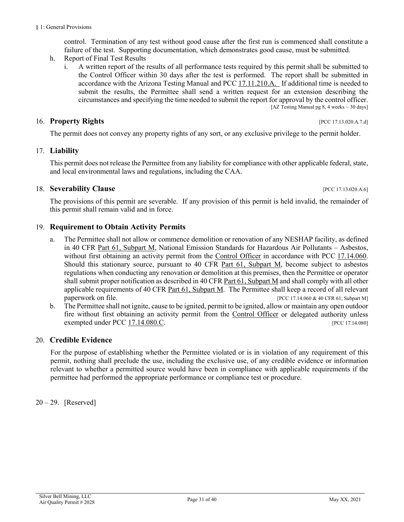control. Termination of any test without good cause after the first run is commenced shall constitute a failure of the test. Supporting documentation, which demonstrates good cause, must be submitted.

- <span id="page-30-2"></span>h. Report of Final Test Results
	- i. A written report of the results of all performance tests required by this permit shall be submitted to the Control Officer within 30 days after the test is performed. The report shall be submitted in accordance with the Arizona Testing Manual and [PCC 17.11.210.A.](https://tinyurl.com/y7ou53b8) If additional time is needed to submit the results, the Permittee shall send a written request for an extension describing the circumstances and specifying the time needed to submit the report for approval by the control officer. [AZ Testing Manual pg 8, 4 weeks  $\sim$  30 days]

## 16. **Property Rights** [PCC 17.13.020.A.7.d]

The permit does not convey any property rights of any sort, or any exclusive privilege to the permit holder.

## 17. **Liability**

This permit does not release the Permittee from any liability for compliance with other applicable federal, state, and local environmental laws and regulations, including the CAA.

## 18. **Severability Clause** *pcc* 17.13.020.A.6]

The provisions of this permit are severable. If any provision of this permit is held invalid, the remainder of this permit shall remain valid and in force.

## <span id="page-30-1"></span>19. **Requirement to Obtain Activity Permits**

- a. The Permittee shall not allow or commence demolition or renovation of any NESHAP facility, as defined in [40 CFR Part 61, Subpart M,](https://tinyurl.com/40-cfr-61-M) National Emission Standards for Hazardous Air Pollutants – Asbestos, without first obtaining an activity permit from the [Control Officer](#page-31-1) in accordance with PCC 17.14.060. Should this stationary source, pursuant to [40 CFR Part 61, Subpart M,](https://tinyurl.com/40-cfr-61-M) become subject to asbestos regulations when conducting any renovation or demolition at this premises, then the Permittee or operator shall submit proper notification as described in [40 CFR Part 61, Subpart M](https://tinyurl.com/40-cfr-61-M) and shall comply with all other applicable requirements of [40 CFR Part 61, Subpart M.](https://tinyurl.com/40-cfr-61-M) The Permittee shall keep a record of all relevant paperwork on file. [\[PCC 17.14.060](https://tinyurl.com/y92xpbjm) [& 40 CFR 61, Subpart M\]](https://tinyurl.com/40-cfr-61-M)
- <span id="page-30-0"></span>b. The Permittee shall not ignite, cause to be ignited, permit to be ignited, allow or maintain any open outdoor fire without first obtaining an activity permit from the [Control Officer](#page-31-1) or delegated authority unless exempted under [PCC 17.14.080.C.](https://tinyurl.com/y7julhh9) [PCC 17.14.080]

## 20. **Credible Evidence**

For the purpose of establishing whether the Permittee violated or is in violation of any requirement of this permit, nothing shall preclude the use, including the exclusive use, of any credible evidence or information relevant to whether a permitted source would have been in compliance with applicable requirements if the permittee had performed the appropriate performance or compliance test or procedure.

## $20 - 29$ . [Reserved]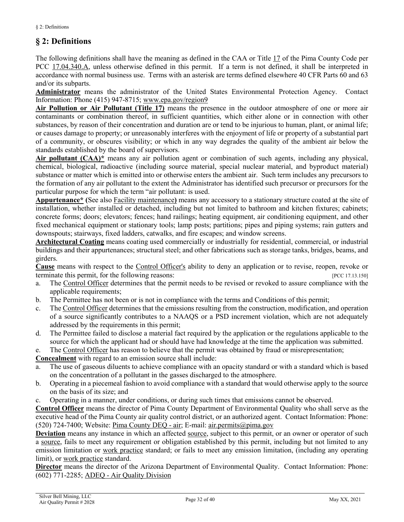## <span id="page-31-0"></span>**§ 2: Definitions**

The following definitions shall have the meaning as defined in the CAA or [Title 17](https://tinyurl.com/y7xc7jvc) of the Pima County Code per [PCC 17.04.340.A,](https://tinyurl.com/y9gh9owd) unless otherwise defined in this permit. If a term is not defined, it shall be interpreted in accordance with normal business use. Terms with an asterisk are terms defined elsewhere 40 CFR Parts 60 and 63 and/or its subparts.

<span id="page-31-5"></span>**Administrator** means the administrator of the United States Environmental Protection Agency. Contact Information: Phone (415) 947-8715; [www.epa.gov/region9](https://www.epa.gov/aboutepa/epa-region-9-pacific-southwest)

<span id="page-31-2"></span>**Air Pollution or Air Pollutant (Title 17)** means the presence in the outdoor atmosphere of one or more air contaminants or combination thereof, in sufficient quantities, which either alone or in connection with other substances, by reason of their concentration and duration are or tend to be injurious to human, plant, or animal life; or causes damage to property; or unreasonably interferes with the enjoyment of life or property of a substantial part of a community, or obscures visibility; or which in any way degrades the quality of the ambient air below the standards established by the board of supervisors.

<span id="page-31-6"></span>**Air pollutant (CAA)\*** means any air pollution agent or combination of such agents, including any physical, chemical, biological, radioactive (including source material, special nuclear material, and byproduct material) substance or matter which is emitted into or otherwise enters the ambient air. Such term includes any precursors to the formation of any air pollutant to the extent the Administrator has identified such precursor or precursors for the particular purpose for which the term "air pollutant: is used.

<span id="page-31-7"></span>**Appurtenance\* (**See also [Facility maintenance](#page-33-2)**)** means any accessory to a stationary structure coated at the site of installation, whether installed or detached, including but not limited to bathroom and kitchen fixtures; cabinets; concrete forms; doors; elevators; fences; hand railings; heating equipment, air conditioning equipment, and other fixed mechanical equipment or stationary tools; lamp posts; partitions; pipes and piping systems; rain gutters and downspouts; stairways, fixed ladders, catwalks, and fire escapes; and window screens.

<span id="page-31-8"></span>**Architectural Coating** means coating used commercially or industrially for residential, commercial, or industrial buildings and their appurtenances; structural steel; and other fabrications such as storage tanks, bridges, beams, and girders.

**Cause** means with respect to the [Control Officer's](#page-31-1) ability to deny an application or to revise, reopen, revoke or terminate this permit, for the following reasons: [\[PCC 17.13.150\]](https://tinyurl.com/y2c32y2e)

- a. The [Control Officer](#page-31-1) determines that the permit needs to be revised or revoked to assure compliance with the applicable requirements;
- b. The Permittee has not been or is not in compliance with the terms and Conditions of this permit;
- c. The [Control Officer](#page-31-1) determines that the emissions resulting from the construction, modification, and operation of a source significantly contributes to a NAAQS or a PSD increment violation, which are not adequately addressed by the requirements in this permit;
- d. The Permittee failed to disclose a material fact required by the application or the regulations applicable to the source for which the applicant had or should have had knowledge at the time the application was submitted.
- e. The [Control Officer](#page-31-1) has reason to believe that the permit was obtained by fraud or misrepresentation;

<span id="page-31-3"></span>**Concealment** with regard to an emission source shall include:

- The use of gaseous diluents to achieve compliance with an opacity standard or with a standard which is based on the concentration of a pollutant in the gasses discharged to the atmosphere.
- b. Operating in a piecemeal fashion to avoid compliance with a standard that would otherwise apply to the source on the basis of its size; and
- c. Operating in a manner, under conditions, or during such times that emissions cannot be observed.

<span id="page-31-1"></span>**Control Officer** means the director of Pima County Department of Environmental Quality who shall serve as the executive head of the Pima County air quality control district, or an authorized agent. Contact Information: Phone: (520) 724-7400; Website: [Pima County DEQ -](http://webcms.pima.gov/government/environmental_quality/) air; E-mail: [air.permits@pima.gov](mailto:air.permits@pima.gov)

**Deviation** means any instance in which an affected [source,](#page-36-0) subject to this permit, or an owner or operator of such a [source,](#page-36-0) fails to meet any requirement or obligation established by this permit, including but not limited to any emission limitation or work practice standard; or fails to meet any emission limitation, (including any operating limit), or work practice standard.

<span id="page-31-4"></span>**Director** means the director of the Arizona Department of Environmental Quality. Contact Information: Phone: (602) 771-2285; ADEQ - [Air Quality Division](https://azdeq.gov/AQ)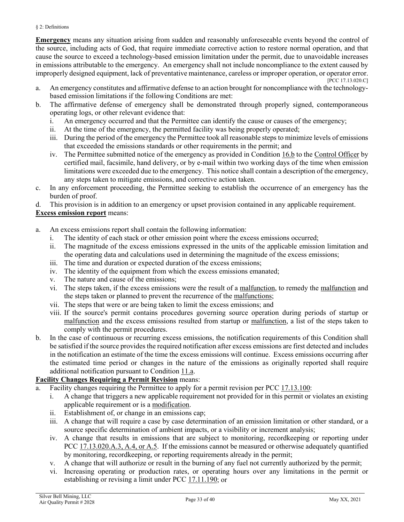#### § 2: Definitions

<span id="page-32-1"></span>**Emergency** means any situation arising from sudden and reasonably unforeseeable events beyond the control of the source, including acts of God, that require immediate corrective action to restore normal operation, and that cause the source to exceed a technology-based emission limitation under the permit, due to unavoidable increases in emissions attributable to the emergency. An emergency shall not include noncompliance to the extent caused by improperly designed equipment, lack of preventative maintenance, careless or improper operation, or operator error. [\[PCC 17.13.020.C\]](https://tinyurl.com/y2whqkle)

- a. An emergency constitutes and affirmative defense to an action brought for noncompliance with the technologybased emission limitations if the following Conditions are met:
- b. The affirmative defense of emergency shall be demonstrated through properly signed, contemporaneous operating logs, or other relevant evidence that:
	- i. An emergency occurred and that the Permittee can identify the cause or causes of the emergency;
	- ii. At the time of the emergency, the permitted facility was being properly operated;
	- iii. During the period of the emergency the Permittee took all reasonable steps to minimize levels of emissions that exceeded the emissions standards or other requirements in the permit; and
	- iv. The Permittee submitted notice of the emergency as provided i[n Condition 16.b](#page-27-4) to the [Control Officer](#page-31-1) by certified mail, facsimile, hand delivery, or by e-mail within two working days of the time when emission limitations were exceeded due to the emergency. This notice shall contain a description of the emergency, any steps taken to mitigate emissions, and corrective action taken.
- c. In any enforcement proceeding, the Permittee seeking to establish the occurrence of an emergency has the burden of proof.

d. This provision is in addition to an emergency or upset provision contained in any applicable requirement.

#### <span id="page-32-0"></span>**Excess emission report** means:

- a. An excess emissions report shall contain the following information:
	- i. The identity of each stack or other emission point where the excess emissions occurred;
	- ii. The magnitude of the excess emissions expressed in the units of the applicable emission limitation and the operating data and calculations used in determining the magnitude of the excess emissions;
	- iii. The time and duration or expected duration of the excess emissions;
	- iv. The identity of the equipment from which the excess emissions emanated;
	- v. The nature and cause of the emissions;
	- vi. The steps taken, if the excess emissions were the result of a [malfunction,](#page-34-3) to remedy the [malfunction](#page-34-3) and the steps taken or planned to prevent the recurrence of the [malfunctions;](#page-34-3)
	- vii. The steps that were or are being taken to limit the excess emissions; and
	- viii. If the source's permit contains procedures governing source operation during periods of startup or [malfunction](#page-34-3) and the excess emissions resulted from startup or [malfunction,](#page-34-3) a list of the steps taken to comply with the permit procedures.
- b. In the case of continuous or recurring excess emissions, the notification requirements of this Condition shall be satisfied if the source provides the required notification after excess emissions are first detected and includes in the notification an estimate of the time the excess emissions will continue. Excess emissions occurring after the estimated time period or changes in the nature of the emissions as originally reported shall require additional notification pursuant t[o Condition 11.a.](#page-27-5)

#### <span id="page-32-2"></span>**Facility Changes Requiring a Permit Revision** means:

- a. Facility changes requiring the Permittee to apply for a permit revision per [PCC 17.13.100:](https://tinyurl.com/y5ug46gn)
	- i. A change that triggers a new applicable requirement not provided for in this permit or violates an existing applicable requirement or is a [modification.](#page-35-4)
	- ii. Establishment of, or change in an emissions cap;
	- iii. A change that will require a case by case determination of an emission limitation or other standard, or a source specific determination of ambient impacts, or a visibility or increment analysis;
	- iv. A change that results in emissions that are subject to monitoring, recordkeeping or reporting under PCC [17.13.020.A.3, A.4, or](https://tinyurl.com/y2whqkle) A.5. If the emissions cannot be measured or otherwise adequately quantified by monitoring, recordkeeping, or reporting requirements already in the permit;
	- v. A change that will authorize or result in the burning of any fuel not currently authorized by the permit;
	- vi. Increasing operating or production rates, or operating hours over any limitations in the permit or establishing or revising a limit under [PCC 17.11.190;](https://tinyurl.com/y9szaoyu) or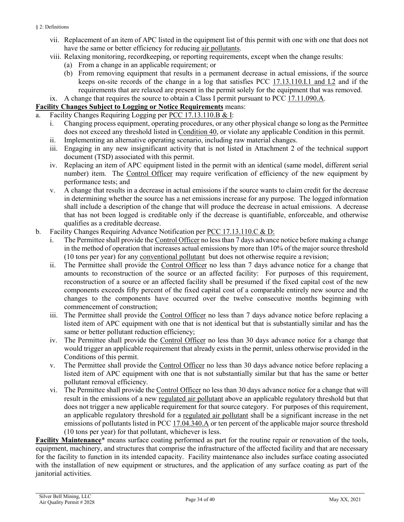- vii. Replacement of an item of APC listed in the equipment list of this permit with one with one that does not have the same or better efficiency for reducing [air pollutants.](#page-31-2)
- viii. Relaxing monitoring, recordkeeping, or reporting requirements, except when the change results:
	- (a) From a change in an applicable requirement; or
	- (b) From removing equipment that results in a permanent decrease in actual emissions, if the source keeps on-site records of the change in a log that satisfies [PCC 17.13.110.I.1 and I.2](https://tinyurl.com/y5p6yuan) and if the requirements that are relaxed are present in the permit solely for the equipment that was removed.
- ix. A change that requires the source to obtain a Class I permit pursuant to [PCC 17.11.090.A.](https://tinyurl.com/yat2yhct)

#### <span id="page-33-1"></span>**Facility Changes Subject to Logging or Notice Requirements** means:

- a. Facility Changes Requiring Logging per [PCC 17.13.110.B & I:](https://tinyurl.com/y5p6yuan)
	- i. Changing process equipment, operating procedures, or any other physical change so long as the Permittee does not exceed any threshold listed in [Condition 40,](#page-5-1) or violate any applicable Condition in this permit.
	- ii. Implementing an alternative operating scenario, including raw material changes.
	- iii. Engaging in any new insignificant activity that is not listed in Attachment 2 of the technical support document (TSD) associated with this permit.
	- iv. Replacing an item of APC equipment listed in the permit with an identical (same model, different serial number) item. The [Control Officer](#page-31-1) may require verification of efficiency of the new equipment by performance tests; and
	- v. A change that results in a decrease in actual emissions if the source wants to claim credit for the decrease in determining whether the source has a net emissions increase for any purpose. The logged information shall include a description of the change that will produce the decrease in actual emissions. A decrease that has not been logged is creditable only if the decrease is quantifiable, enforceable, and otherwise qualifies as a creditable decrease.
- <span id="page-33-0"></span>b. Facility Changes Requiring Advance Notification per [PCC 17.13.110.C & D:](https://tinyurl.com/y5p6yuan)
	- i. The Permittee shall provide the [Control Officer](#page-31-1) no less than 7 days advance notice before making a change in the method of operation that increases actual emissions by more than 10% of the major source threshold (10 tons per year) for any [conventional pollutant](#page-36-1) but does not otherwise require a revision;
	- ii. The Permittee shall provide the [Control Officer](#page-31-1) no less than 7 days advance notice for a change that amounts to reconstruction of the source or an affected facility: For purposes of this requirement, reconstruction of a source or an affected facility shall be presumed if the fixed capital cost of the new components exceeds fifty percent of the fixed capital cost of a comparable entirely new source and the changes to the components have occurred over the twelve consecutive months beginning with commencement of construction;
	- iii. The Permittee shall provide the [Control Officer](#page-31-1) no less than 7 days advance notice before replacing a listed item of APC equipment with one that is not identical but that is substantially similar and has the same or better pollutant reduction efficiency;
	- iv. The Permittee shall provide the [Control Officer](#page-31-1) no less than 30 days advance notice for a change that would trigger an applicable requirement that already exists in the permit, unless otherwise provided in the Conditions of this permit.
	- v. The Permittee shall provide the [Control Officer](#page-31-1) no less than 30 days advance notice before replacing a listed item of APC equipment with one that is not substantially similar but that has the same or better pollutant removal efficiency.
	- vi. The Permittee shall provide the [Control Officer](#page-31-1) no less than 30 days advance notice for a change that will result in the emissions of a new [regulated air pollutant](#page-36-0) above an applicable regulatory threshold but that does not trigger a new applicable requirement for that source category. For purposes of this requirement, an applicable regulatory threshold for a [regulated air pollutant](#page-36-0) shall be a significant increase in the net emissions of pollutants listed i[n PCC 17.04.340.A](https://tinyurl.com/y9gh9owd) or ten percent of the applicable major source threshold (10 tons per year) for that pollutant, whichever is less.

<span id="page-33-2"></span>**Facility Maintenance**\* means surface coating performed as part for the routine repair or renovation of the tools, equipment, machinery, and structures that comprise the infrastructure of the affected facility and that are necessary for the facility to function in its intended capacity. Facility maintenance also includes surface coating associated with the installation of new equipment or structures, and the application of any surface coating as part of the janitorial activities.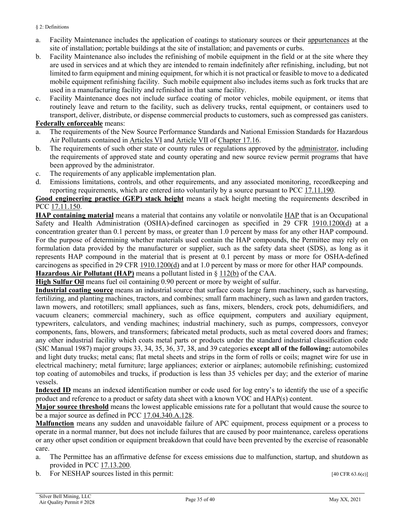- a. Facility Maintenance includes the application of coatings to stationary sources or their [appurtenances](#page-31-7) at the site of installation; portable buildings at the site of installation; and pavements or curbs.
- b. Facility Maintenance also includes the refinishing of mobile equipment in the field or at the site where they are used in services and at which they are intended to remain indefinitely after refinishing, including, but not limited to farm equipment and mining equipment, for which it is not practical or feasible to move to a dedicated mobile equipment refinishing facility. Such mobile equipment also includes items such as fork trucks that are used in a manufacturing facility and refinished in that same facility.
- c. Facility Maintenance does not include surface coating of motor vehicles, mobile equipment, or items that routinely leave and return to the facility, such as delivery trucks, rental equipment, or containers used to transport, deliver, distribute, or dispense commercial products to customers, such as compressed gas canisters.

#### <span id="page-34-1"></span>**Federally enforceable** means:

- The requirements of the New Source Performance Standards and National Emission Standards for Hazardous Air Pollutants contained in [Articles VI](https://tinyurl.com/PCC-17-16-articleIV) and [Article VII](https://tinyurl.com/PCC-17-16-articleVII) of [Chapter 17.16.](https://tinyurl.com/yxlchvn9)
- b. The requirements of such other state or county rules or regulations approved by the [administrator,](#page-31-5) including the requirements of approved state and county operating and new source review permit programs that have been approved by the administrator.
- c. The requirements of any applicable implementation plan.
- d. Emissions limitations, controls, and other requirements, and any associated monitoring, recordkeeping and reporting requirements, which are entered into voluntarily by a source pursuant to [PCC 17.11.190.](https://tinyurl.com/y9szaoyu)

<span id="page-34-4"></span>**Good engineering practice (GEP) stack height** means a stack height meeting the requirements described in PCC [17.11.150.](https://tinyurl.com/y5o5pvjn)

**HAP containing material** means a material that contains any volatile or nonvolatile [HAP](#page-34-0) that is an Occupational Safety and Health Administration (OSHA)-defined carcinogen as specified in [29 CFR 1910.1200\(d\)](https://tinyurl.com/40-CFR-1919-1200-d) at a concentration greater than 0.1 percent by mass, or greater than 1.0 percent by mass for any other HAP compound. For the purpose of determining whether materials used contain the HAP compounds, the Permittee may rely on formulation data provided by the manufacturer or supplier, such as the safety data sheet (SDS), as long as it represents HAP compound in the material that is present at 0.1 percent by mass or more for OSHA-defined carcinogens as specified in [29 CFR 1910.1200\(d\)](https://tinyurl.com/40-CFR-1919-1200-d) and at 1.0 percent by mass or more for other HAP compounds.

<span id="page-34-0"></span>**Hazardous Air Pollutant (HAP)** means a pollutant listed in [§ 112\(b\)](https://tinyurl.com/y6o35l45) of the CAA. **High Sulfur Oil** means fuel oil containing 0.90 percent or more by weight of sulfur.

<span id="page-34-2"></span>**Industrial coating source** means an industrial source that surface coats large farm machinery, such as harvesting, fertilizing, and planting machines, tractors, and combines; small farm machinery, such as lawn and garden tractors, lawn mowers, and rototillers; small appliances, such as fans, mixers, blenders, crock pots, dehumidifiers, and vacuum cleaners; commercial machinery, such as office equipment, computers and auxiliary equipment, typewriters, calculators, and vending machines; industrial machinery, such as pumps, compressors, conveyor components, fans, blowers, and transformers; fabricated metal products, such as metal covered doors and frames; any other industrial facility which coats metal parts or products under the standard industrial classification code (SIC Manual 1987) major groups 33, 34, 35, 36, 37, 38, and 39 categories **except all of the following:** automobiles and light duty trucks; metal cans; flat metal sheets and strips in the form of rolls or coils; magnet wire for use in electrical machinery; metal furniture; large appliances; exterior or airplanes; automobile refinishing; customized top coating of automobiles and trucks, if production is less than 35 vehicles per day; and the exterior of marine vessels.

**Indexed ID** means an indexed identification number or code used for log entry's to identify the use of a specific product and reference to a product or safety data sheet with a known VOC and HAP(s) content.

**Major source threshold** means the lowest applicable emissions rate for a pollutant that would cause the source to be a major source as defined in PCC [17.04.340.A.128.](https://tinyurl.com/y9gh9owd)

<span id="page-34-3"></span>**Malfunction** means any sudden and unavoidable failure of APC equipment, process equipment or a process to operate in a normal manner, but does not include failures that are caused by poor maintenance, careless operations or any other upset condition or equipment breakdown that could have been prevented by the exercise of reasonable care.

- a. The Permittee has an affirmative defense for excess emissions due to malfunction, startup, and shutdown as provided in PCC [17.13.200.](https://tinyurl.com/y49knu68)
- b. For NESHAP sources listed in this permit: [40 CFR 63.6(e)]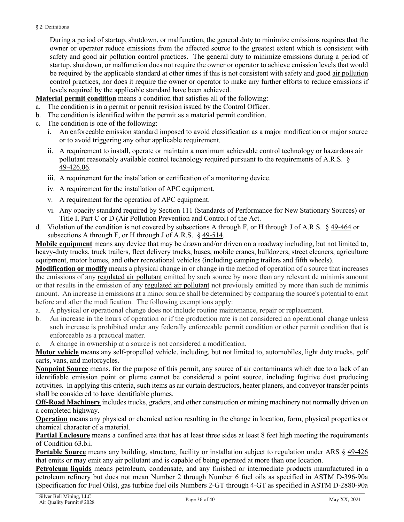During a period of startup, shutdown, or malfunction, the general duty to minimize emissions requires that the owner or operator reduce emissions from the affected source to the greatest extent which is consistent with safety and good [air pollution](#page-31-2) control practices. The general duty to minimize emissions during a period of startup, shutdown, or malfunction does not require the owner or operator to achieve emission levels that would be required by the applicable standard at other times if this is not consistent with safety and good [air pollution](#page-31-2) control practices, nor does it require the owner or operator to make any further efforts to reduce emissions if levels required by the applicable standard have been achieved.

<span id="page-35-1"></span>**Material permit condition** means a condition that satisfies all of the following:

- a. The condition is in a permit or permit revision issued by the Control Officer.
- b. The condition is identified within the permit as a material permit condition.
- c. The condition is one of the following:
	- i. An enforceable emission standard imposed to avoid classification as a major modification or major source or to avoid triggering any other applicable requirement.
	- ii. A requirement to install, operate or maintain a maximum achievable control technology or hazardous air pollutant reasonably available control technology required pursuant to the requirements of A.R.S. § [49-426.06.](https://tinyurl.com/ybw3xl2j)
	- iii. A requirement for the installation or certification of a monitoring device.
	- iv. A requirement for the installation of APC equipment.
	- v. A requirement for the operation of APC equipment.
	- vi. Any opacity standard required by Section 111 (Standards of Performance for New Stationary Sources) or Title I, Part C or D (Air Pollution Prevention and Control) of the Act.
- d. Violation of the condition is not covered by subsections A through F, or H through J of A.R.S. § [49-464](https://www.azleg.gov/viewdocument/?docName=https://www.azleg.gov/ars/49/00464.htm) or subsections A through F, or H through J of A.R.S. [§ 49-514.](https://www.azleg.gov/viewdocument/?docName=https://www.azleg.gov/ars/49/00514.htm)

<span id="page-35-0"></span>**Mobile equipment** means any device that may be drawn and/or driven on a roadway including, but not limited to, heavy-duty trucks, truck trailers, fleet delivery trucks, buses, mobile cranes, bulldozers, street cleaners, agriculture equipment, motor homes, and other recreational vehicles (including camping trailers and fifth wheels).

<span id="page-35-4"></span>**Modification or modify** means a physical change in or change in the method of operation of a source that increases the emissions of any [regulated air pollutant](#page-36-0) emitted by such source by more than any relevant de minimis amount or that results in the emission of any [regulated air pollutant](#page-36-0) not previously emitted by more than such de minimis amount. An increase in emissions at a minor source shall be determined by comparing the source's potential to emit before and after the modification. The following exemptions apply:

- a. A physical or operational change does not include routine maintenance, repair or replacement.
- b. An increase in the hours of operation or if the production rate is not considered an operational change unless such increase is prohibited under any federally enforceable permit condition or other permit condition that is enforceable as a practical matter.
- A change in ownership at a source is not considered a modification.

**Motor vehicle** means any self-propelled vehicle, including, but not limited to, automobiles, light duty trucks, golf carts, vans, and motorcycles.

<span id="page-35-3"></span>**Nonpoint Source** means, for the purpose of this permit, any source of air contaminants which due to a lack of an identifiable emission point or plume cannot be considered a point source, including fugitive dust producing activities. In applying this criteria, such items as air curtain destructors, heater planers, and conveyor transfer points shall be considered to have identifiable plumes.

**Off-Road Machinery** includes trucks, graders, and other construction or mining machinery not normally driven on a completed highway.

**Operation** means any physical or chemical action resulting in the change in location, form, physical properties or chemical character of a material.

**Partial Enclosure** means a confined area that has at least three sides at least 8 feet high meeting the requirements of Condition 63.b.i.

**Portable Source** means any building, structure, facility or installation subject to regulation under ARS § [49-426](https://www.azleg.gov/viewdocument/?docName=https://www.azleg.gov/ars/49/00426.htm) that emits or may emit any air pollutant and is capable of being operated at more than one location.

<span id="page-35-2"></span>**Petroleum liquids** means petroleum, condensate, and any finished or intermediate products manufactured in a petroleum refinery but does not mean Number 2 through Number 6 fuel oils as specified in ASTM D-396-90a (Specification for Fuel Oils), gas turbine fuel oils Numbers 2-GT through 4-GT as specified in ASTM D-2880-90a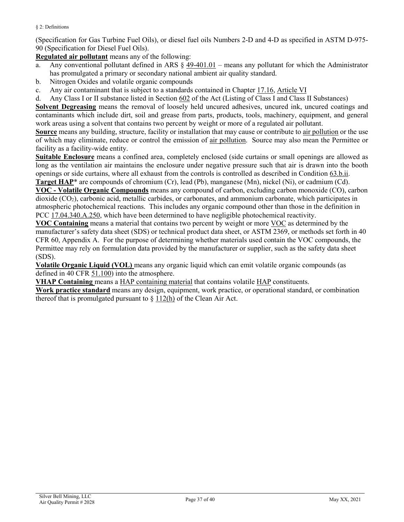(Specification for Gas Turbine Fuel Oils), or diesel fuel oils Numbers 2-D and 4-D as specified in ASTM D-975- 90 (Specification for Diesel Fuel Oils).

<span id="page-36-0"></span>**Regulated air pollutant** means any of the following:

- <span id="page-36-1"></span>a. Any conventional pollutant defined in ARS § [49-401.01](https://tinyurl.com/ARS-49-401-01) – means any pollutant for which the Administrator has promulgated a primary or secondary national ambient air quality standard.
- b. Nitrogen Oxides and volatile organic compounds
- c. Any air contaminant that is subject to a standards contained in Chapter [17.16,](https://tinyurl.com/y7uokuy8) [Article VI](https://tinyurl.com/y9fxud5g)
- d. Any Class I or II substance listed in Section [602](https://tinyurl.com/yy37p3q3) of the Act (Listing of Class I and Class II Substances)

<span id="page-36-6"></span>**Solvent Degreasing** means the removal of loosely held uncured adhesives, uncured ink, uncured coatings and contaminants which include dirt, soil and grease from parts, products, tools, machinery, equipment, and general work areas using a solvent that contains two percent by weight or more of a regulated air pollutant.

**Source** means any building, structure, facility or installation that may cause or contribute to [air pollution](#page-31-2) or the use of which may eliminate, reduce or control the emission of [air pollution.](#page-31-2) Source may also mean the Permittee or facility as a facility-wide entity.

**Suitable Enclosure** means a confined area, completely enclosed (side curtains or small openings are allowed as long as the ventilation air maintains the enclosure under negative pressure such that air is drawn into the booth openings or side curtains, where all exhaust from the controls is controlled as described in [Condition 63.b.ii.](#page-13-0) **Target HAP**\* are compounds of chromium (Cr), lead (Pb), manganese (Mn), nickel (Ni), or cadmium (Cd).

<span id="page-36-4"></span><span id="page-36-3"></span>**VOC - Volatile Organic Compounds** means any compound of carbon, excluding carbon monoxide (CO), carbon dioxide (CO<sub>2</sub>), carbonic acid, metallic carbides, or carbonates, and ammonium carbonate, which participates in atmospheric photochemical reactions. This includes any organic compound other than those in the definition in [PCC 17.04.340.A.250,](https://tinyurl.com/y9gh9owd) which have been determined to have negligible photochemical reactivity.

**VOC Containing** means a material that contains two percent by weight or more [VOC](#page-36-3) as determined by the manufacturer's safety data sheet (SDS) or technical product data sheet, or ASTM 2369, or methods set forth in 40 CFR 60, Appendix A. For the purpose of determining whether materials used contain the VOC compounds, the Permittee may rely on formulation data provided by the manufacturer or supplier, such as the safety data sheet (SDS).

<span id="page-36-2"></span>**Volatile Organic Liquid (VOL)** means any organic liquid which can emit volatile organic compounds (as defined in [40 CFR 51.100\)](https://tinyurl.com/40-CFR-51-100-def) into the atmosphere.

<span id="page-36-5"></span>**VHAP Containing** means [a HAP containing material](#page-34-4) that contains volatile [HAP](#page-34-0) constituents.

**Work practice standard** means any design, equipment, work practice, or operational standard, or combination thereof that is promulgated pursuant to  $\S 112(h)$  of the Clean Air Act.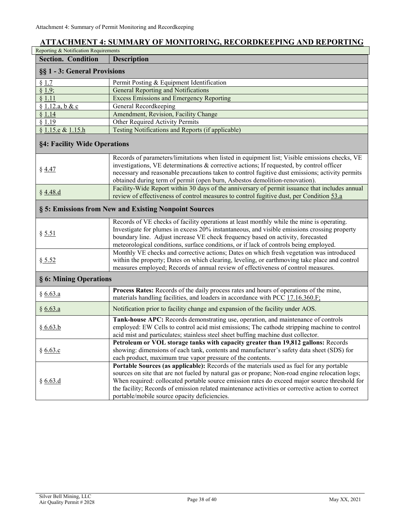## <span id="page-37-0"></span>**ATTACHMENT 4: SUMMARY OF MONITORING, RECORDKEEPING AND REPORTING**

| Reporting & Notification Requirements |                                                                                                                                                                                                                                                                                                                                                                                                                                                  |  |  |  |  |  |  |  |
|---------------------------------------|--------------------------------------------------------------------------------------------------------------------------------------------------------------------------------------------------------------------------------------------------------------------------------------------------------------------------------------------------------------------------------------------------------------------------------------------------|--|--|--|--|--|--|--|
| <b>Section. Condition</b>             | <b>Description</b>                                                                                                                                                                                                                                                                                                                                                                                                                               |  |  |  |  |  |  |  |
| §§ 1 - 3: General Provisions          |                                                                                                                                                                                                                                                                                                                                                                                                                                                  |  |  |  |  |  |  |  |
| § 1.7                                 | Permit Posting & Equipment Identification                                                                                                                                                                                                                                                                                                                                                                                                        |  |  |  |  |  |  |  |
| § 1.9;                                | General Reporting and Notifications                                                                                                                                                                                                                                                                                                                                                                                                              |  |  |  |  |  |  |  |
| § 1.11                                | <b>Excess Emissions and Emergency Reporting</b>                                                                                                                                                                                                                                                                                                                                                                                                  |  |  |  |  |  |  |  |
| § 1.12.a, b & c                       | General Recordkeeping                                                                                                                                                                                                                                                                                                                                                                                                                            |  |  |  |  |  |  |  |
| § 1.14                                | Amendment, Revision, Facility Change                                                                                                                                                                                                                                                                                                                                                                                                             |  |  |  |  |  |  |  |
| § 1.19                                | Other Required Activity Permits                                                                                                                                                                                                                                                                                                                                                                                                                  |  |  |  |  |  |  |  |
| § 1.15.e & 1.15.h                     | Testing Notifications and Reports (if applicable)                                                                                                                                                                                                                                                                                                                                                                                                |  |  |  |  |  |  |  |
| §4: Facility Wide Operations          |                                                                                                                                                                                                                                                                                                                                                                                                                                                  |  |  |  |  |  |  |  |
| § 4.47                                | Records of parameters/limitations when listed in equipment list; Visible emissions checks, VE<br>investigations, VE determinations & corrective actions; If requested, by control officer<br>necessary and reasonable precautions taken to control fugitive dust emissions; activity permits<br>obtained during term of permit (open burn, Asbestos demolition-renovation).                                                                      |  |  |  |  |  |  |  |
| § 4.48.d                              | Facility-Wide Report within 30 days of the anniversary of permit issuance that includes annual<br>review of effectiveness of control measures to control fugitive dust, per Condition 53.a                                                                                                                                                                                                                                                       |  |  |  |  |  |  |  |
|                                       | § 5: Emissions from New and Existing Nonpoint Sources                                                                                                                                                                                                                                                                                                                                                                                            |  |  |  |  |  |  |  |
| § 5.51                                | Records of VE checks of facility operations at least monthly while the mine is operating.<br>Investigate for plumes in excess 20% instantaneous, and visible emissions crossing property<br>boundary line. Adjust increase VE check frequency based on activity, forecasted<br>meteorological conditions, surface conditions, or if lack of controls being employed.                                                                             |  |  |  |  |  |  |  |
| \$ 5.52                               | Monthly VE checks and corrective actions; Dates on which fresh vegetation was introduced<br>within the property; Dates on which clearing, leveling, or earthmoving take place and control<br>measures employed; Records of annual review of effectiveness of control measures.                                                                                                                                                                   |  |  |  |  |  |  |  |
| § 6: Mining Operations                |                                                                                                                                                                                                                                                                                                                                                                                                                                                  |  |  |  |  |  |  |  |
| § 6.63.a                              | Process Rates: Records of the daily process rates and hours of operations of the mine,<br>materials handling facilities, and loaders in accordance with PCC 17.16.360.F;                                                                                                                                                                                                                                                                         |  |  |  |  |  |  |  |
| § 6.63.a                              | Notification prior to facility change and expansion of the facility under AOS.                                                                                                                                                                                                                                                                                                                                                                   |  |  |  |  |  |  |  |
| § 6.63.b                              | Tank-house APC: Records demonstrating use, operation, and maintenance of controls<br>employed: EW Cells to control acid mist emissions; The cathode stripping machine to control<br>acid mist and particulates; stainless steel sheet buffing machine dust collector.                                                                                                                                                                            |  |  |  |  |  |  |  |
| §6.63.c                               | Petroleum or VOL storage tanks with capacity greater than 19,812 gallons: Records<br>showing: dimensions of each tank, contents and manufacturer's safety data sheet (SDS) for<br>each product, maximum true vapor pressure of the contents.                                                                                                                                                                                                     |  |  |  |  |  |  |  |
| § 6.63.d                              | Portable Sources (as applicable): Records of the materials used as fuel for any portable<br>sources on site that are not fueled by natural gas or propane; Non-road engine relocation logs;<br>When required: collocated portable source emission rates do exceed major source threshold for<br>the facility; Records of emission related maintenance activities or corrective action to correct<br>portable/mobile source opacity deficiencies. |  |  |  |  |  |  |  |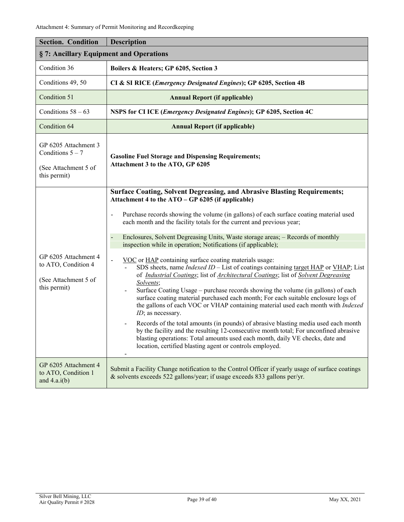| <b>Section. Condition</b>                                                           | <b>Description</b>                                                                                                                                                                                                                                                                                                                                                                                                                                                                                                                                                                                                                                                                                                                                                                                                                                                                                                                                                                                                                                                                                                                                                                                                                                                                                                                                                                                                 |  |  |  |  |  |  |
|-------------------------------------------------------------------------------------|--------------------------------------------------------------------------------------------------------------------------------------------------------------------------------------------------------------------------------------------------------------------------------------------------------------------------------------------------------------------------------------------------------------------------------------------------------------------------------------------------------------------------------------------------------------------------------------------------------------------------------------------------------------------------------------------------------------------------------------------------------------------------------------------------------------------------------------------------------------------------------------------------------------------------------------------------------------------------------------------------------------------------------------------------------------------------------------------------------------------------------------------------------------------------------------------------------------------------------------------------------------------------------------------------------------------------------------------------------------------------------------------------------------------|--|--|--|--|--|--|
| §7: Ancillary Equipment and Operations                                              |                                                                                                                                                                                                                                                                                                                                                                                                                                                                                                                                                                                                                                                                                                                                                                                                                                                                                                                                                                                                                                                                                                                                                                                                                                                                                                                                                                                                                    |  |  |  |  |  |  |
| Condition 36                                                                        | Boilers & Heaters; GP 6205, Section 3                                                                                                                                                                                                                                                                                                                                                                                                                                                                                                                                                                                                                                                                                                                                                                                                                                                                                                                                                                                                                                                                                                                                                                                                                                                                                                                                                                              |  |  |  |  |  |  |
| Conditions 49, 50                                                                   | CI & SI RICE (Emergency Designated Engines); GP 6205, Section 4B                                                                                                                                                                                                                                                                                                                                                                                                                                                                                                                                                                                                                                                                                                                                                                                                                                                                                                                                                                                                                                                                                                                                                                                                                                                                                                                                                   |  |  |  |  |  |  |
| Condition 51                                                                        | <b>Annual Report (if applicable)</b>                                                                                                                                                                                                                                                                                                                                                                                                                                                                                                                                                                                                                                                                                                                                                                                                                                                                                                                                                                                                                                                                                                                                                                                                                                                                                                                                                                               |  |  |  |  |  |  |
| Conditions $58 - 63$                                                                | NSPS for CI ICE (Emergency Designated Engines); GP 6205, Section 4C                                                                                                                                                                                                                                                                                                                                                                                                                                                                                                                                                                                                                                                                                                                                                                                                                                                                                                                                                                                                                                                                                                                                                                                                                                                                                                                                                |  |  |  |  |  |  |
| Condition 64                                                                        | <b>Annual Report (if applicable)</b>                                                                                                                                                                                                                                                                                                                                                                                                                                                                                                                                                                                                                                                                                                                                                                                                                                                                                                                                                                                                                                                                                                                                                                                                                                                                                                                                                                               |  |  |  |  |  |  |
| GP 6205 Attachment 3<br>Conditions $5 - 7$<br>(See Attachment 5 of<br>this permit)  | <b>Gasoline Fuel Storage and Dispensing Requirements;</b><br>Attachment 3 to the ATO, GP 6205                                                                                                                                                                                                                                                                                                                                                                                                                                                                                                                                                                                                                                                                                                                                                                                                                                                                                                                                                                                                                                                                                                                                                                                                                                                                                                                      |  |  |  |  |  |  |
| GP 6205 Attachment 4<br>to ATO, Condition 4<br>(See Attachment 5 of<br>this permit) | <b>Surface Coating, Solvent Degreasing, and Abrasive Blasting Requirements;</b><br>Attachment 4 to the ATO – GP 6205 (if applicable)<br>Purchase records showing the volume (in gallons) of each surface coating material used<br>$\blacksquare$<br>each month and the facility totals for the current and previous year;<br>Enclosures, Solvent Degreasing Units, Waste storage areas; - Records of monthly<br>inspection while in operation; Notifications (if applicable);<br>VOC or HAP containing surface coating materials usage:<br>$\blacksquare$<br>SDS sheets, name <i>Indexed ID</i> – List of coatings containing target HAP or VHAP; List<br>of <i>Industrial Coatings</i> ; list of <i>Architectural Coatings</i> ; list of <i>Solvent Degreasing</i><br>Solvents;<br>Surface Coating Usage - purchase records showing the volume (in gallons) of each<br>$\blacksquare$<br>surface coating material purchased each month; For each suitable enclosure logs of<br>the gallons of each VOC or VHAP containing material used each month with Indexed<br>ID; as necessary.<br>Records of the total amounts (in pounds) of abrasive blasting media used each month<br>by the facility and the resulting 12-consecutive month total; For unconfined abrasive<br>blasting operations: Total amounts used each month, daily VE checks, date and<br>location, certified blasting agent or controls employed. |  |  |  |  |  |  |
| GP 6205 Attachment 4<br>to ATO, Condition 1<br>and $4.a.i(b)$                       | Submit a Facility Change notification to the Control Officer if yearly usage of surface coatings<br>& solvents exceeds 522 gallons/year; if usage exceeds 833 gallons per/yr.                                                                                                                                                                                                                                                                                                                                                                                                                                                                                                                                                                                                                                                                                                                                                                                                                                                                                                                                                                                                                                                                                                                                                                                                                                      |  |  |  |  |  |  |